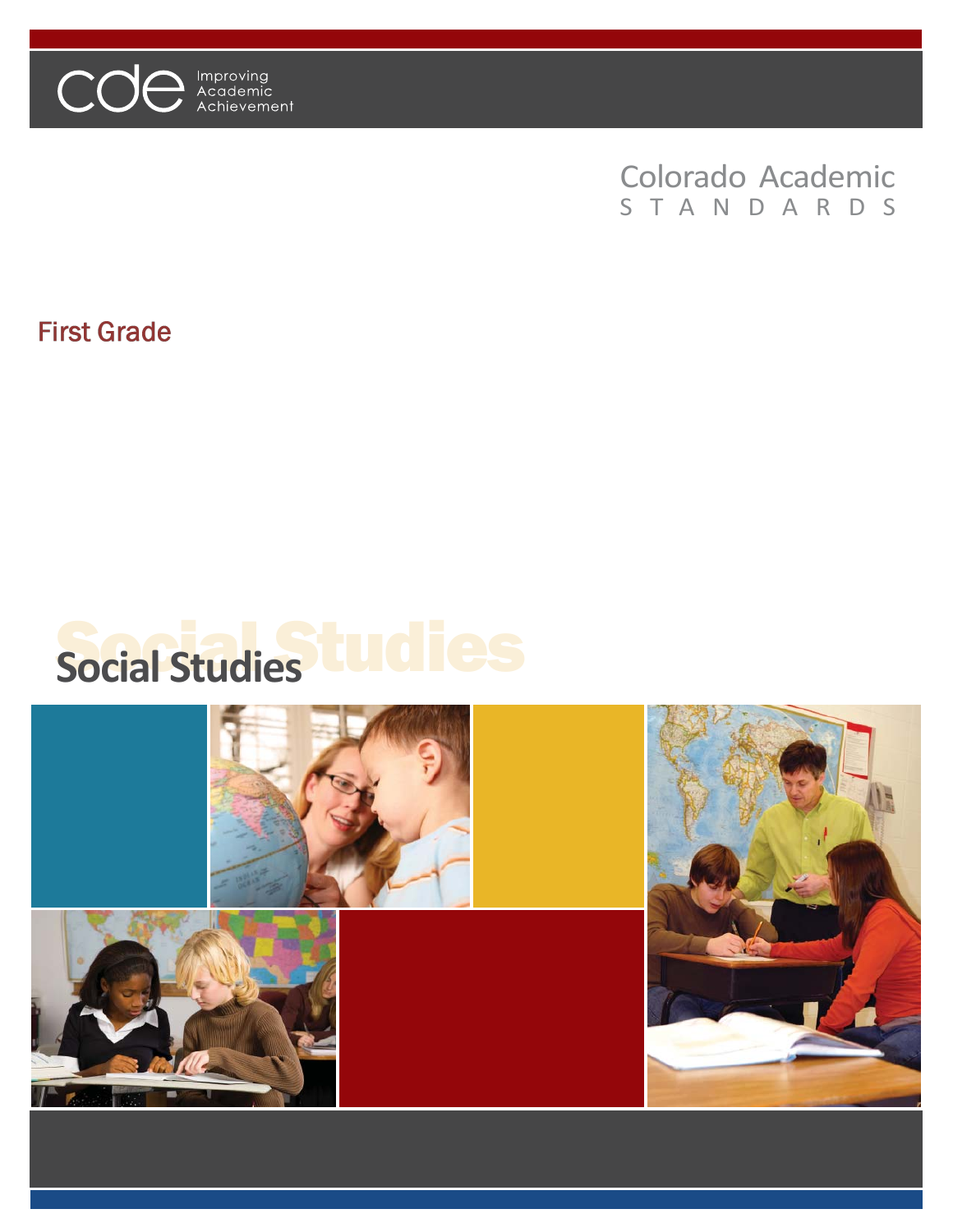

# Colorado Academic STANDARDS

**First Grade** 

# Social Studies

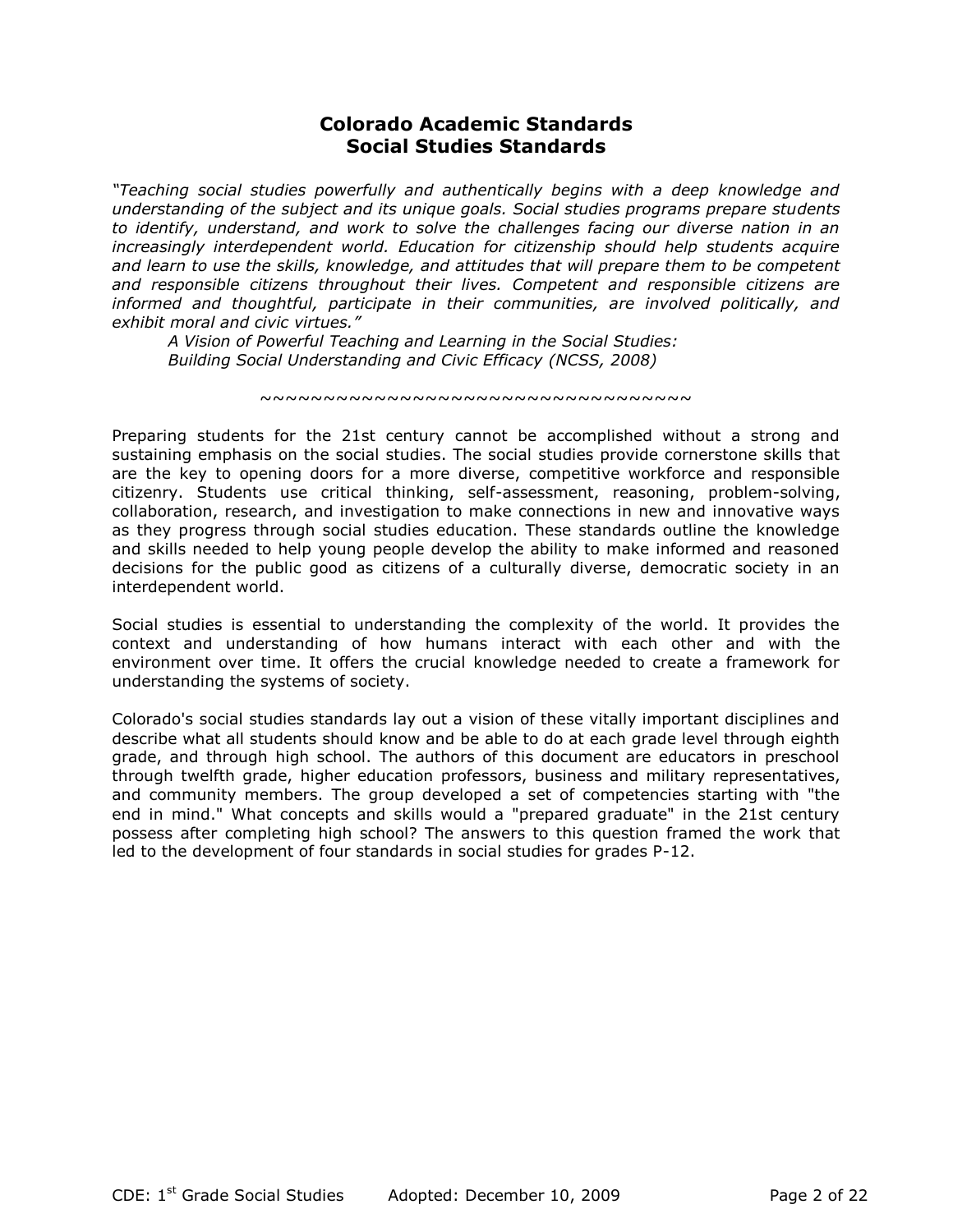#### **Colorado Academic Standards Social Studies Standards**

*"Teaching social studies powerfully and authentically begins with a deep knowledge and understanding of the subject and its unique goals. Social studies programs prepare students to identify, understand, and work to solve the challenges facing our diverse nation in an increasingly interdependent world. Education for citizenship should help students acquire and learn to use the skills, knowledge, and attitudes that will prepare them to be competent and responsible citizens throughout their lives. Competent and responsible citizens are informed and thoughtful, participate in their communities, are involved politically, and exhibit moral and civic virtues."* 

*A Vision of Powerful Teaching and Learning in the Social Studies: Building Social Understanding and Civic Efficacy (NCSS, 2008)*

~~~~~~~~~~~~~~~~~~~~~~~~~~~~~~~~~~~~

Preparing students for the 21st century cannot be accomplished without a strong and sustaining emphasis on the social studies. The social studies provide cornerstone skills that are the key to opening doors for a more diverse, competitive workforce and responsible citizenry. Students use critical thinking, self-assessment, reasoning, problem-solving, collaboration, research, and investigation to make connections in new and innovative ways as they progress through social studies education. These standards outline the knowledge and skills needed to help young people develop the ability to make informed and reasoned decisions for the public good as citizens of a culturally diverse, democratic society in an interdependent world.

Social studies is essential to understanding the complexity of the world. It provides the context and understanding of how humans interact with each other and with the environment over time. It offers the crucial knowledge needed to create a framework for understanding the systems of society.

Colorado's social studies standards lay out a vision of these vitally important disciplines and describe what all students should know and be able to do at each grade level through eighth grade, and through high school. The authors of this document are educators in preschool through twelfth grade, higher education professors, business and military representatives, and community members. The group developed a set of competencies starting with "the end in mind." What concepts and skills would a "prepared graduate" in the 21st century possess after completing high school? The answers to this question framed the work that led to the development of four standards in social studies for grades P-12.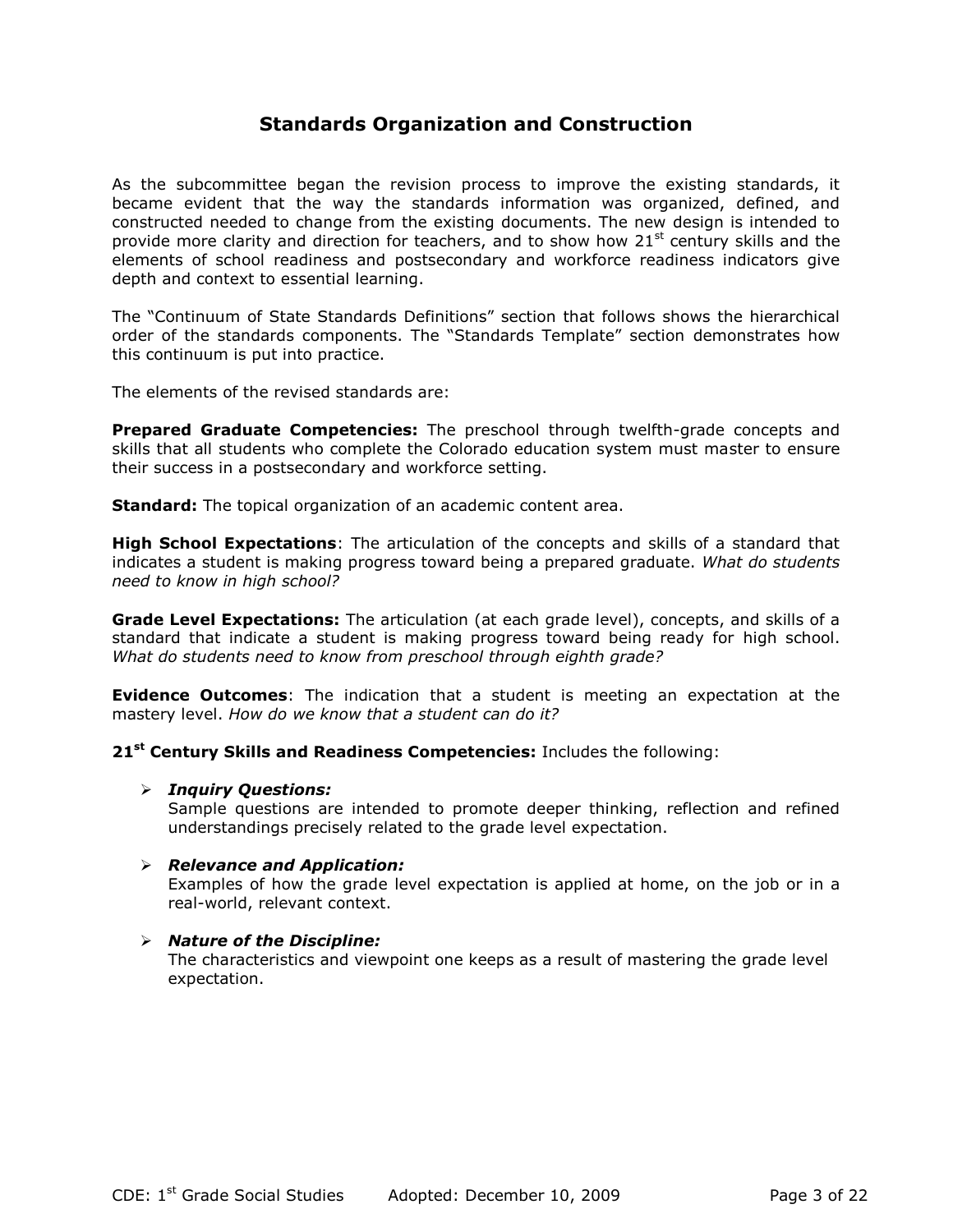#### **Standards Organization and Construction**

As the subcommittee began the revision process to improve the existing standards, it became evident that the way the standards information was organized, defined, and constructed needed to change from the existing documents. The new design is intended to provide more clarity and direction for teachers, and to show how  $21^{st}$  century skills and the elements of school readiness and postsecondary and workforce readiness indicators give depth and context to essential learning.

The "Continuum of State Standards Definitions" section that follows shows the hierarchical order of the standards components. The "Standards Template" section demonstrates how this continuum is put into practice.

The elements of the revised standards are:

**Prepared Graduate Competencies:** The preschool through twelfth-grade concepts and skills that all students who complete the Colorado education system must master to ensure their success in a postsecondary and workforce setting.

**Standard:** The topical organization of an academic content area.

**High School Expectations**: The articulation of the concepts and skills of a standard that indicates a student is making progress toward being a prepared graduate. *What do students need to know in high school?*

**Grade Level Expectations:** The articulation (at each grade level), concepts, and skills of a standard that indicate a student is making progress toward being ready for high school. *What do students need to know from preschool through eighth grade?*

**Evidence Outcomes**: The indication that a student is meeting an expectation at the mastery level. *How do we know that a student can do it?*

**21st Century Skills and Readiness Competencies:** Includes the following:

#### *Inquiry Questions:*

Sample questions are intended to promote deeper thinking, reflection and refined understandings precisely related to the grade level expectation.

#### *Relevance and Application:*

Examples of how the grade level expectation is applied at home, on the job or in a real-world, relevant context.

#### *Nature of the Discipline:*

The characteristics and viewpoint one keeps as a result of mastering the grade level expectation.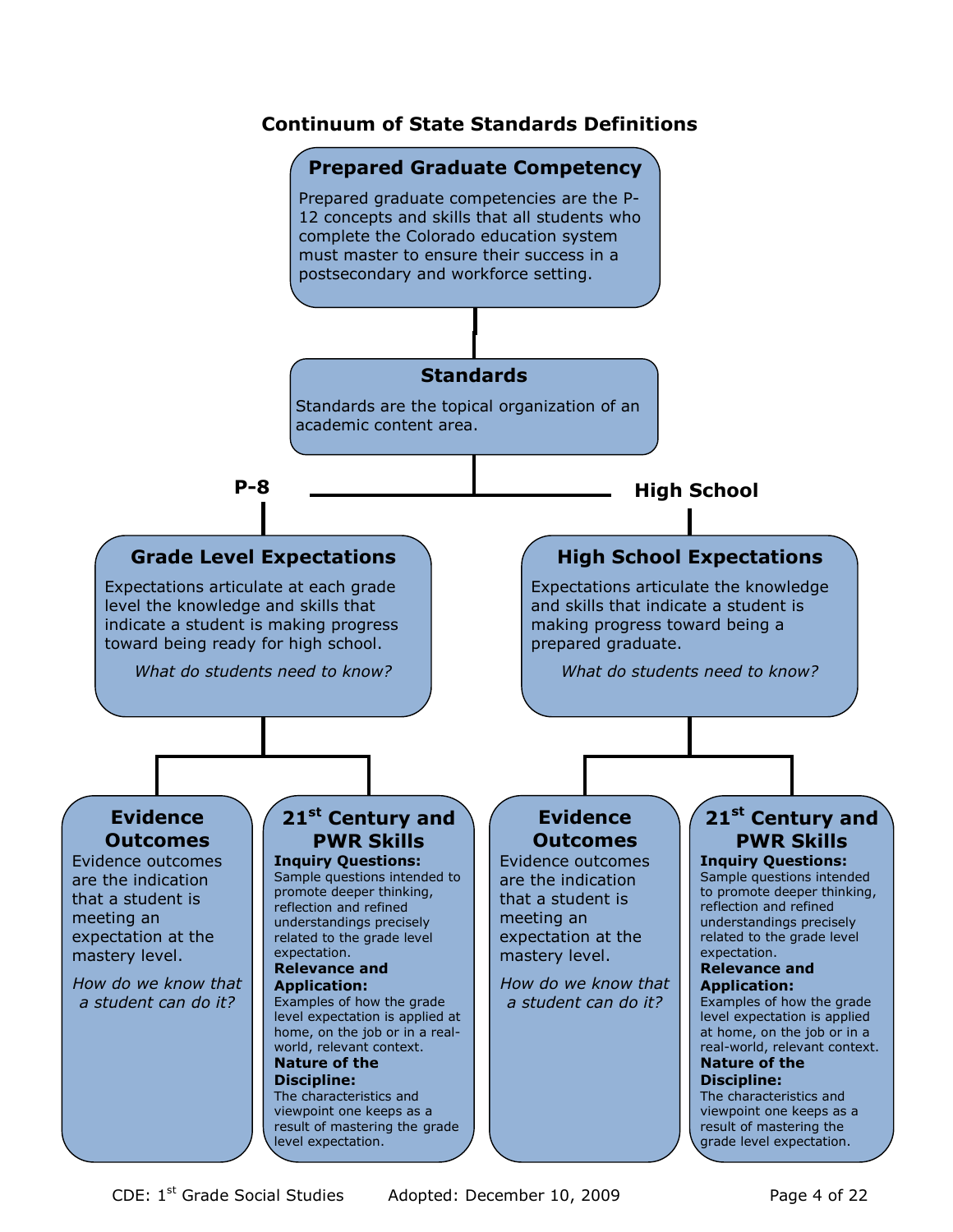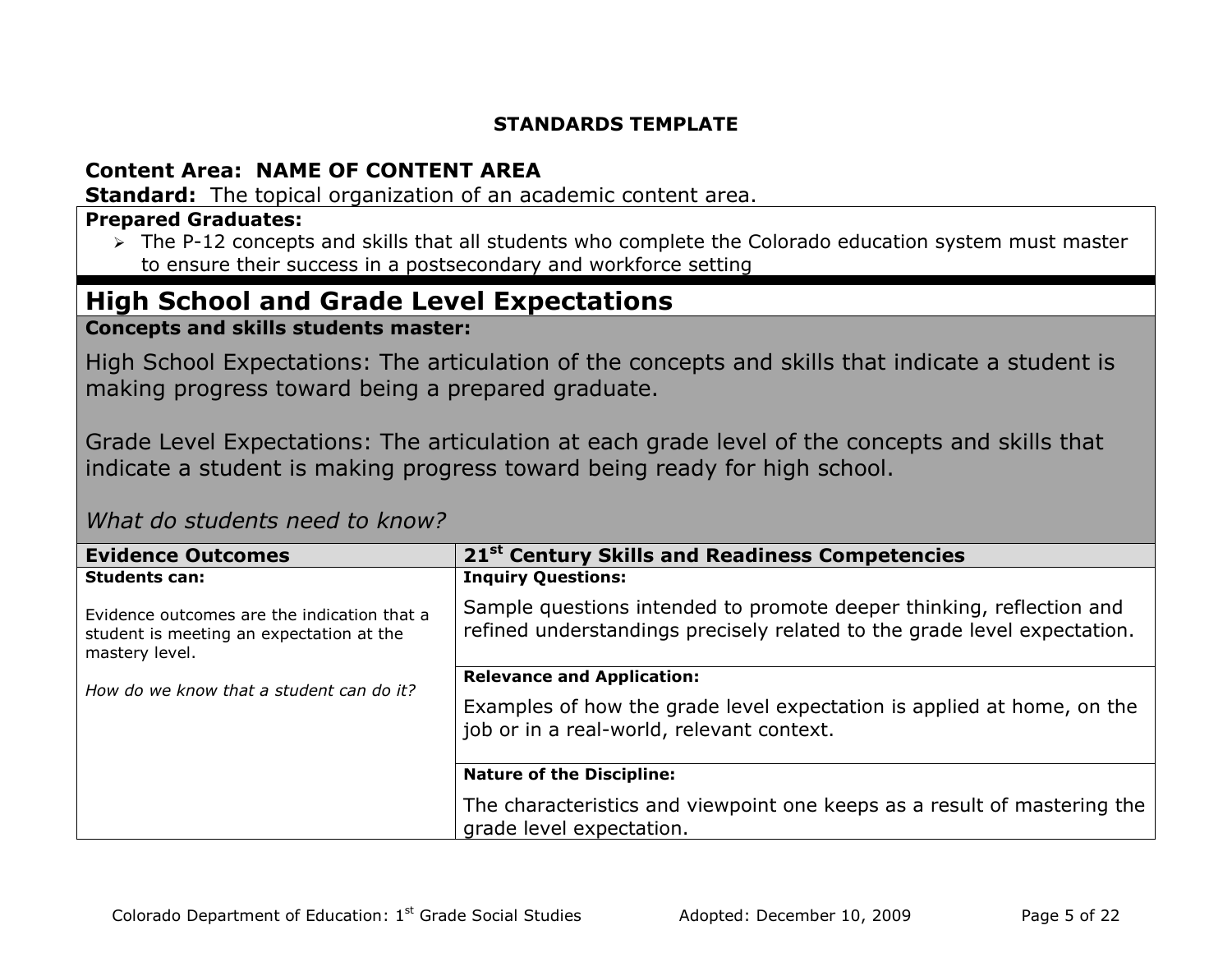#### **STANDARDS TEMPLATE**

#### **Content Area: NAME OF CONTENT AREA**

**Standard:** The topical organization of an academic content area.

#### **Prepared Graduates:**

> The P-12 concepts and skills that all students who complete the Colorado education system must master to ensure their success in a postsecondary and workforce setting

## **High School and Grade Level Expectations**

#### **Concepts and skills students master:**

High School Expectations: The articulation of the concepts and skills that indicate a student is making progress toward being a prepared graduate.

Grade Level Expectations: The articulation at each grade level of the concepts and skills that indicate a student is making progress toward being ready for high school.

#### *What do students need to know?*

| <b>Evidence Outcomes</b>                                                                                  | 21 <sup>st</sup> Century Skills and Readiness Competencies                                                                                       |
|-----------------------------------------------------------------------------------------------------------|--------------------------------------------------------------------------------------------------------------------------------------------------|
| <b>Students can:</b>                                                                                      | <b>Inquiry Questions:</b>                                                                                                                        |
| Evidence outcomes are the indication that a<br>student is meeting an expectation at the<br>mastery level. | Sample questions intended to promote deeper thinking, reflection and<br>refined understandings precisely related to the grade level expectation. |
|                                                                                                           | <b>Relevance and Application:</b>                                                                                                                |
| How do we know that a student can do it?                                                                  | Examples of how the grade level expectation is applied at home, on the<br>job or in a real-world, relevant context.                              |
|                                                                                                           | <b>Nature of the Discipline:</b>                                                                                                                 |
|                                                                                                           | The characteristics and viewpoint one keeps as a result of mastering the<br>grade level expectation.                                             |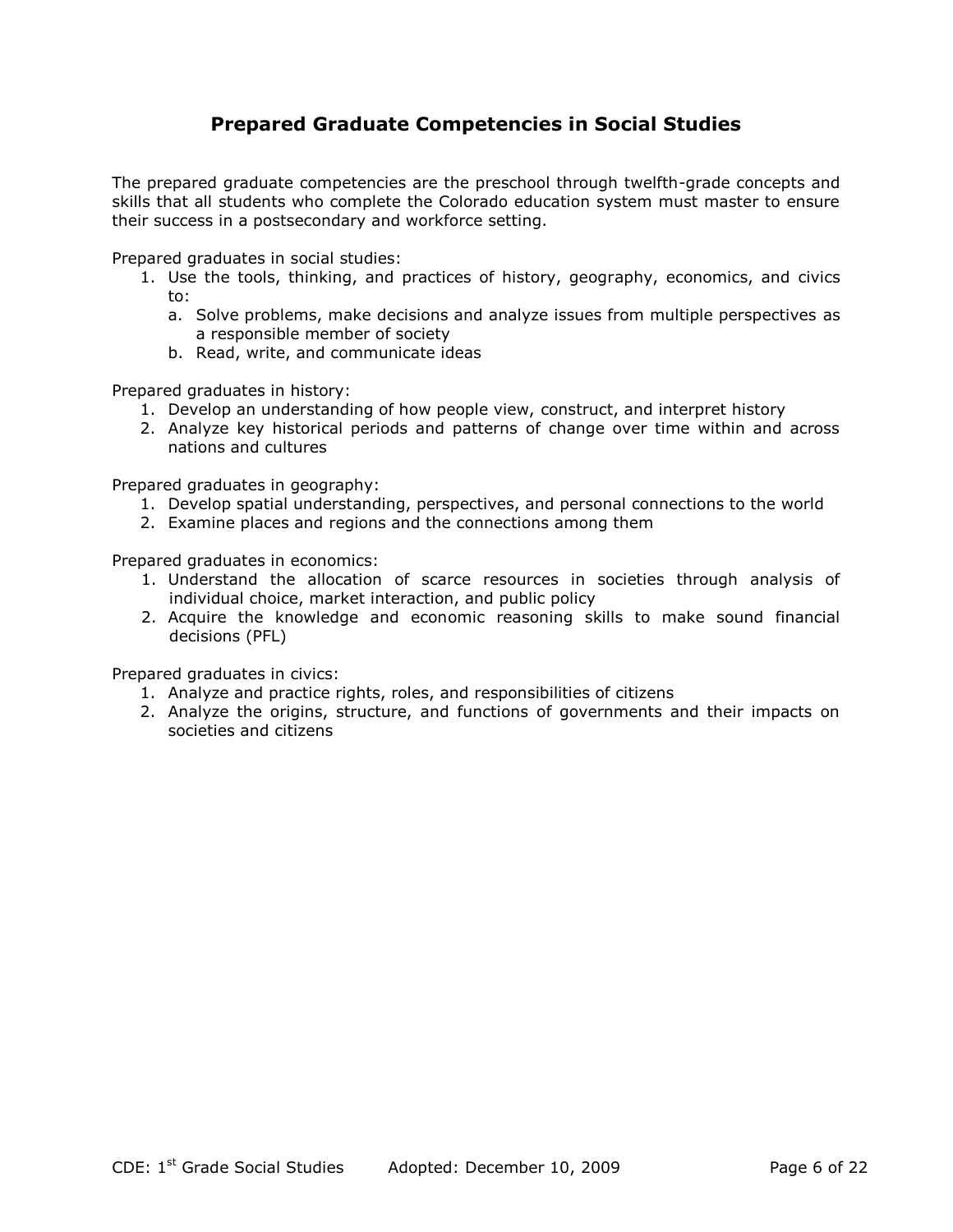#### **Prepared Graduate Competencies in Social Studies**

The prepared graduate competencies are the preschool through twelfth-grade concepts and skills that all students who complete the Colorado education system must master to ensure their success in a postsecondary and workforce setting.

Prepared graduates in social studies:

- 1. Use the tools, thinking, and practices of history, geography, economics, and civics to:
	- a. Solve problems, make decisions and analyze issues from multiple perspectives as a responsible member of society
	- b. Read, write, and communicate ideas

Prepared graduates in history:

- 1. Develop an understanding of how people view, construct, and interpret history
- 2. Analyze key historical periods and patterns of change over time within and across nations and cultures

Prepared graduates in geography:

- 1. Develop spatial understanding, perspectives, and personal connections to the world
- 2. Examine places and regions and the connections among them

Prepared graduates in economics:

- 1. Understand the allocation of scarce resources in societies through analysis of individual choice, market interaction, and public policy
- 2. Acquire the knowledge and economic reasoning skills to make sound financial decisions (PFL)

Prepared graduates in civics:

- 1. Analyze and practice rights, roles, and responsibilities of citizens
- 2. Analyze the origins, structure, and functions of governments and their impacts on societies and citizens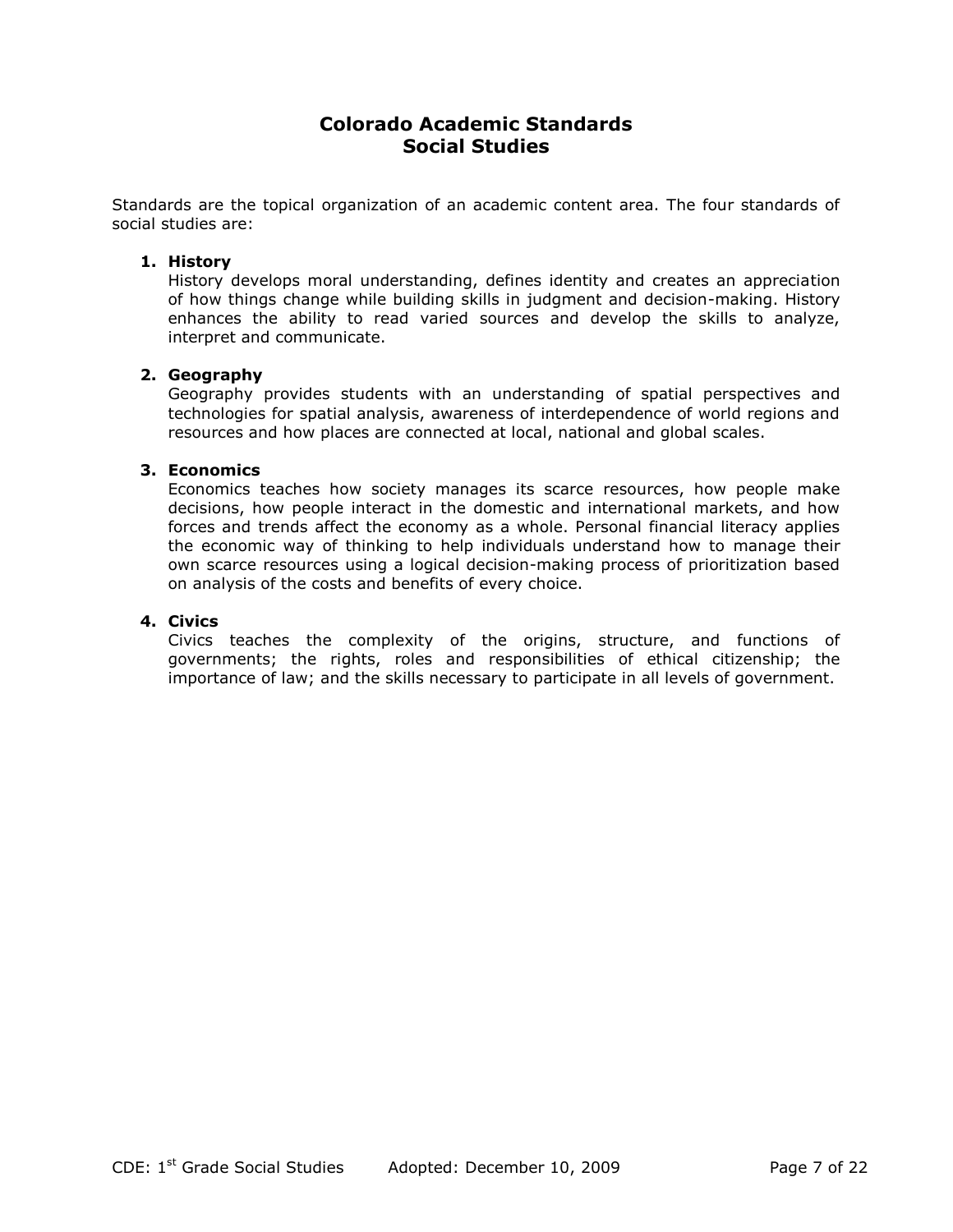#### **Colorado Academic Standards Social Studies**

Standards are the topical organization of an academic content area. The four standards of social studies are:

#### **1. History**

History develops moral understanding, defines identity and creates an appreciation of how things change while building skills in judgment and decision-making. History enhances the ability to read varied sources and develop the skills to analyze, interpret and communicate.

#### **2. Geography**

Geography provides students with an understanding of spatial perspectives and technologies for spatial analysis, awareness of interdependence of world regions and resources and how places are connected at local, national and global scales.

#### **3. Economics**

Economics teaches how society manages its scarce resources, how people make decisions, how people interact in the domestic and international markets, and how forces and trends affect the economy as a whole. Personal financial literacy applies the economic way of thinking to help individuals understand how to manage their own scarce resources using a logical decision-making process of prioritization based on analysis of the costs and benefits of every choice.

#### **4. Civics**

Civics teaches the complexity of the origins, structure, and functions of governments; the rights, roles and responsibilities of ethical citizenship; the importance of law; and the skills necessary to participate in all levels of government.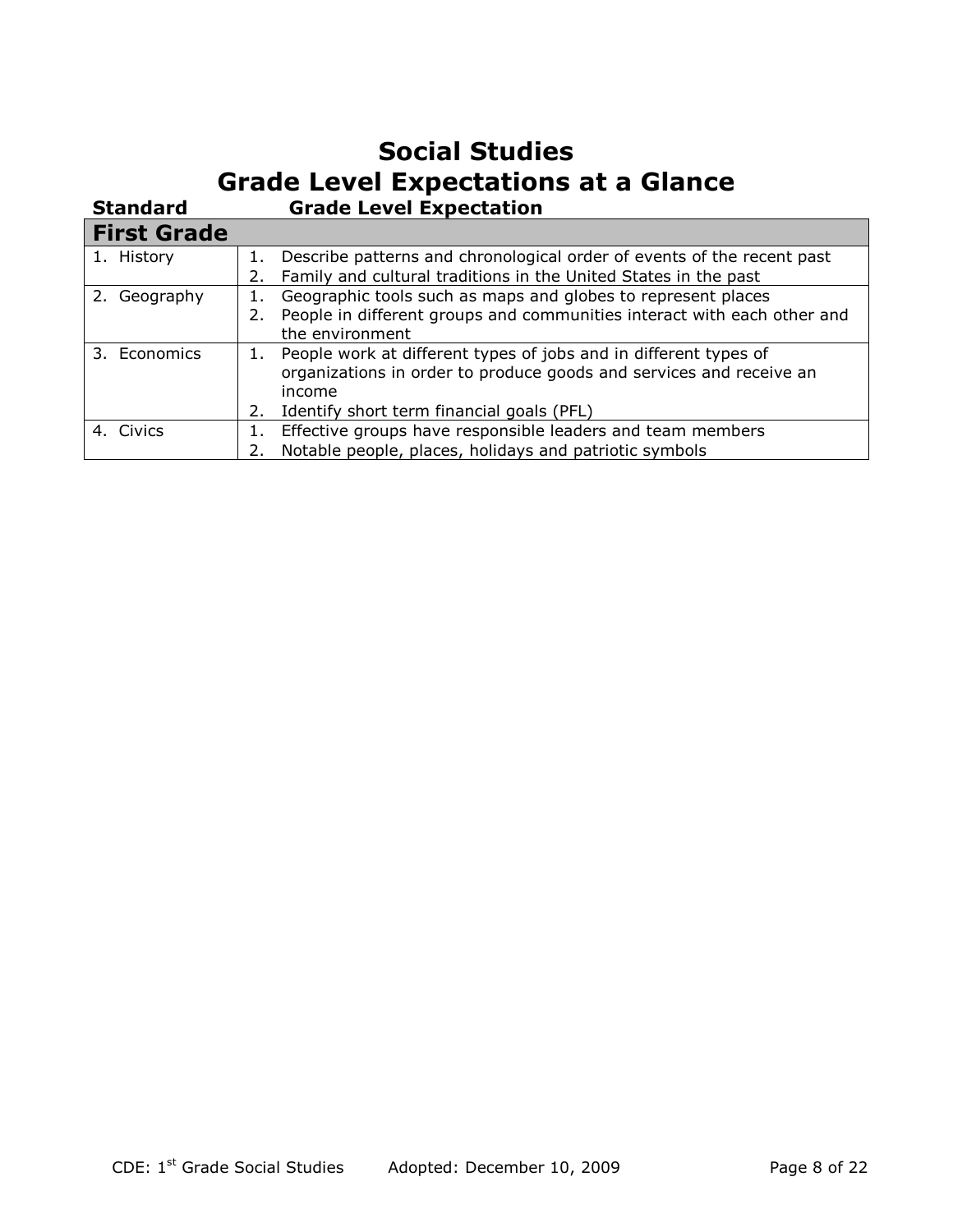# **Social Studies Grade Level Expectations at a Glance**

| <b>Standard</b>    | <b>Grade Level Expectation</b>                                                                                                                                                                       |
|--------------------|------------------------------------------------------------------------------------------------------------------------------------------------------------------------------------------------------|
| <b>First Grade</b> |                                                                                                                                                                                                      |
| 1. History         | Describe patterns and chronological order of events of the recent past<br>Family and cultural traditions in the United States in the past                                                            |
| 2.<br>Geography    | Geographic tools such as maps and globes to represent places<br>People in different groups and communities interact with each other and<br>2.<br>the environment                                     |
| 3. Economics       | People work at different types of jobs and in different types of<br>organizations in order to produce goods and services and receive an<br>income<br>Identify short term financial goals (PFL)<br>2. |
| 4. Civics          | Effective groups have responsible leaders and team members<br>Notable people, places, holidays and patriotic symbols                                                                                 |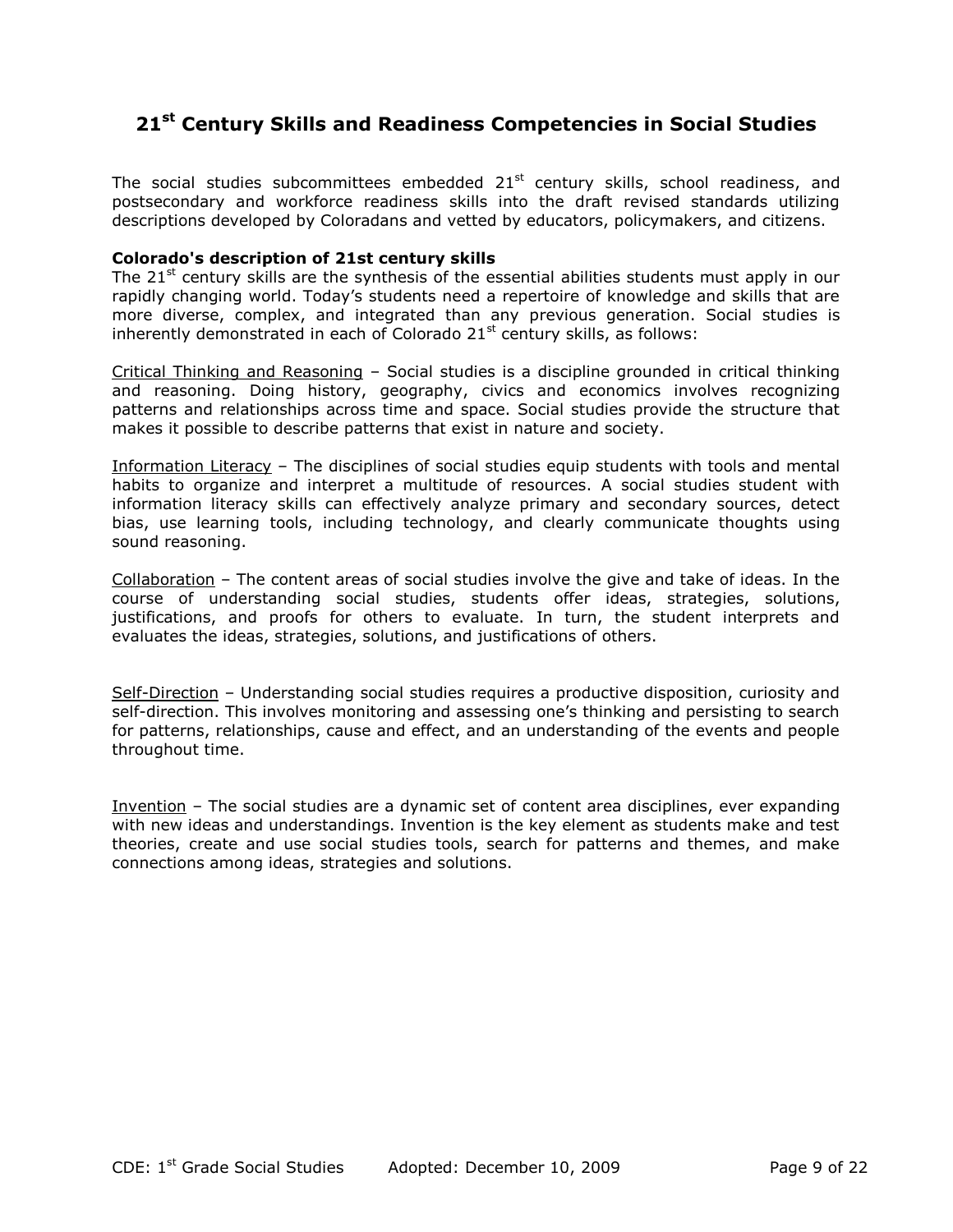#### **21st Century Skills and Readiness Competencies in Social Studies**

The social studies subcommittees embedded  $21<sup>st</sup>$  century skills, school readiness, and postsecondary and workforce readiness skills into the draft revised standards utilizing descriptions developed by Coloradans and vetted by educators, policymakers, and citizens.

#### **Colorado's description of 21st century skills**

The 21<sup>st</sup> century skills are the synthesis of the essential abilities students must apply in our rapidly changing world. Today's students need a repertoire of knowledge and skills that are more diverse, complex, and integrated than any previous generation. Social studies is inherently demonstrated in each of Colorado  $21<sup>st</sup>$  century skills, as follows:

Critical Thinking and Reasoning – Social studies is a discipline grounded in critical thinking and reasoning. Doing history, geography, civics and economics involves recognizing patterns and relationships across time and space. Social studies provide the structure that makes it possible to describe patterns that exist in nature and society.

Information Literacy – The disciplines of social studies equip students with tools and mental habits to organize and interpret a multitude of resources. A social studies student with information literacy skills can effectively analyze primary and secondary sources, detect bias, use learning tools, including technology, and clearly communicate thoughts using sound reasoning.

Collaboration – The content areas of social studies involve the give and take of ideas. In the course of understanding social studies, students offer ideas, strategies, solutions, justifications, and proofs for others to evaluate. In turn, the student interprets and evaluates the ideas, strategies, solutions, and justifications of others.

Self-Direction – Understanding social studies requires a productive disposition, curiosity and self-direction. This involves monitoring and assessing one's thinking and persisting to search for patterns, relationships, cause and effect, and an understanding of the events and people throughout time.

Invention – The social studies are a dynamic set of content area disciplines, ever expanding with new ideas and understandings. Invention is the key element as students make and test theories, create and use social studies tools, search for patterns and themes, and make connections among ideas, strategies and solutions.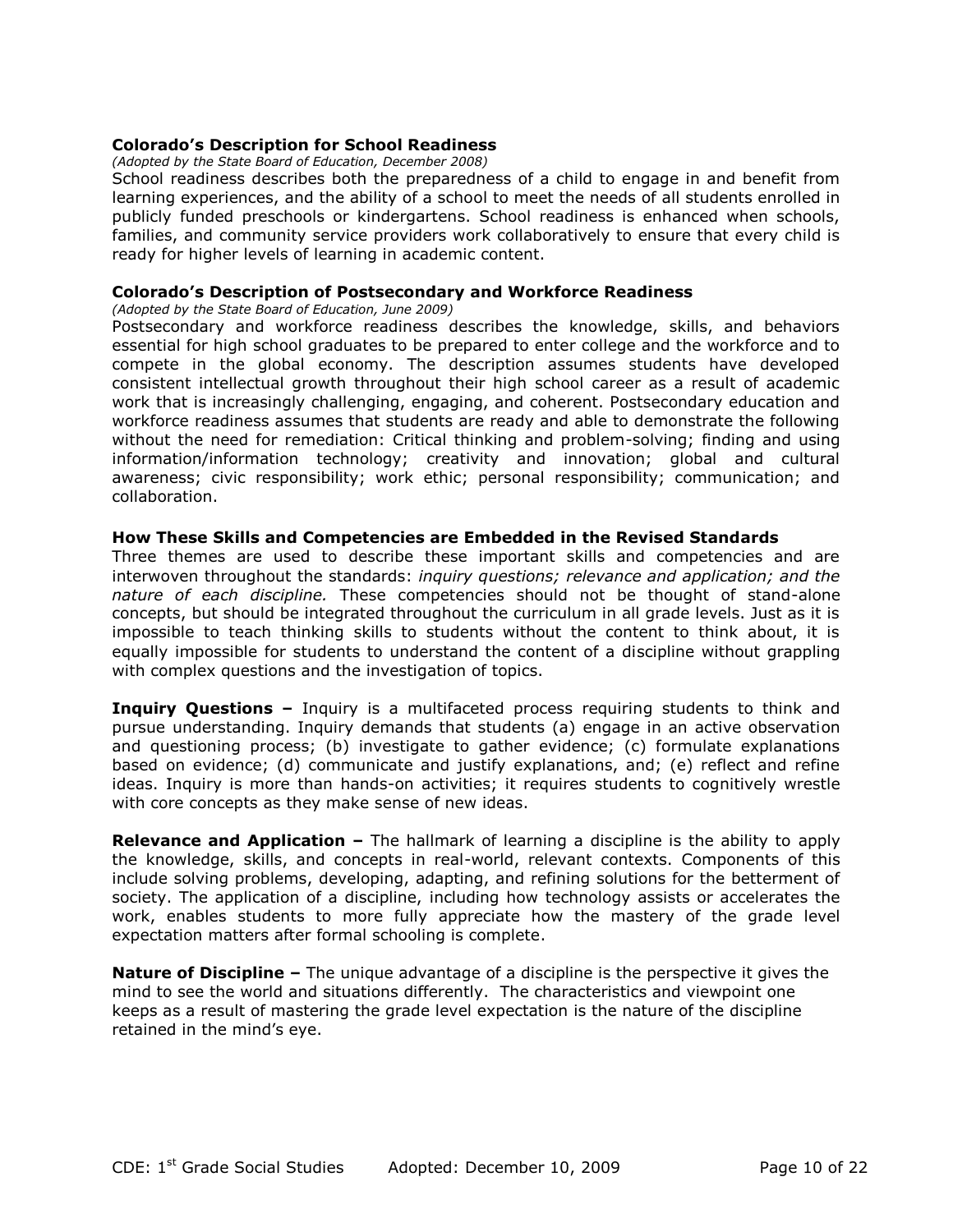#### **Colorado's Description for School Readiness**

#### *(Adopted by the State Board of Education, December 2008)*

School readiness describes both the preparedness of a child to engage in and benefit from learning experiences, and the ability of a school to meet the needs of all students enrolled in publicly funded preschools or kindergartens. School readiness is enhanced when schools, families, and community service providers work collaboratively to ensure that every child is ready for higher levels of learning in academic content.

#### **Colorado's Description of Postsecondary and Workforce Readiness**

#### *(Adopted by the State Board of Education, June 2009)*

Postsecondary and workforce readiness describes the knowledge, skills, and behaviors essential for high school graduates to be prepared to enter college and the workforce and to compete in the global economy. The description assumes students have developed consistent intellectual growth throughout their high school career as a result of academic work that is increasingly challenging, engaging, and coherent. Postsecondary education and workforce readiness assumes that students are ready and able to demonstrate the following without the need for remediation: Critical thinking and problem-solving; finding and using information/information technology; creativity and innovation; global and cultural awareness; civic responsibility; work ethic; personal responsibility; communication; and collaboration.

#### **How These Skills and Competencies are Embedded in the Revised Standards**

Three themes are used to describe these important skills and competencies and are interwoven throughout the standards: *inquiry questions; relevance and application; and the nature of each discipline.* These competencies should not be thought of stand-alone concepts, but should be integrated throughout the curriculum in all grade levels. Just as it is impossible to teach thinking skills to students without the content to think about, it is equally impossible for students to understand the content of a discipline without grappling with complex questions and the investigation of topics.

**Inquiry Questions –** Inquiry is a multifaceted process requiring students to think and pursue understanding. Inquiry demands that students (a) engage in an active observation and questioning process; (b) investigate to gather evidence; (c) formulate explanations based on evidence; (d) communicate and justify explanations, and; (e) reflect and refine ideas. Inquiry is more than hands-on activities; it requires students to cognitively wrestle with core concepts as they make sense of new ideas.

**Relevance and Application –** The hallmark of learning a discipline is the ability to apply the knowledge, skills, and concepts in real-world, relevant contexts. Components of this include solving problems, developing, adapting, and refining solutions for the betterment of society. The application of a discipline, including how technology assists or accelerates the work, enables students to more fully appreciate how the mastery of the grade level expectation matters after formal schooling is complete.

**Nature of Discipline –** The unique advantage of a discipline is the perspective it gives the mind to see the world and situations differently. The characteristics and viewpoint one keeps as a result of mastering the grade level expectation is the nature of the discipline retained in the mind's eye.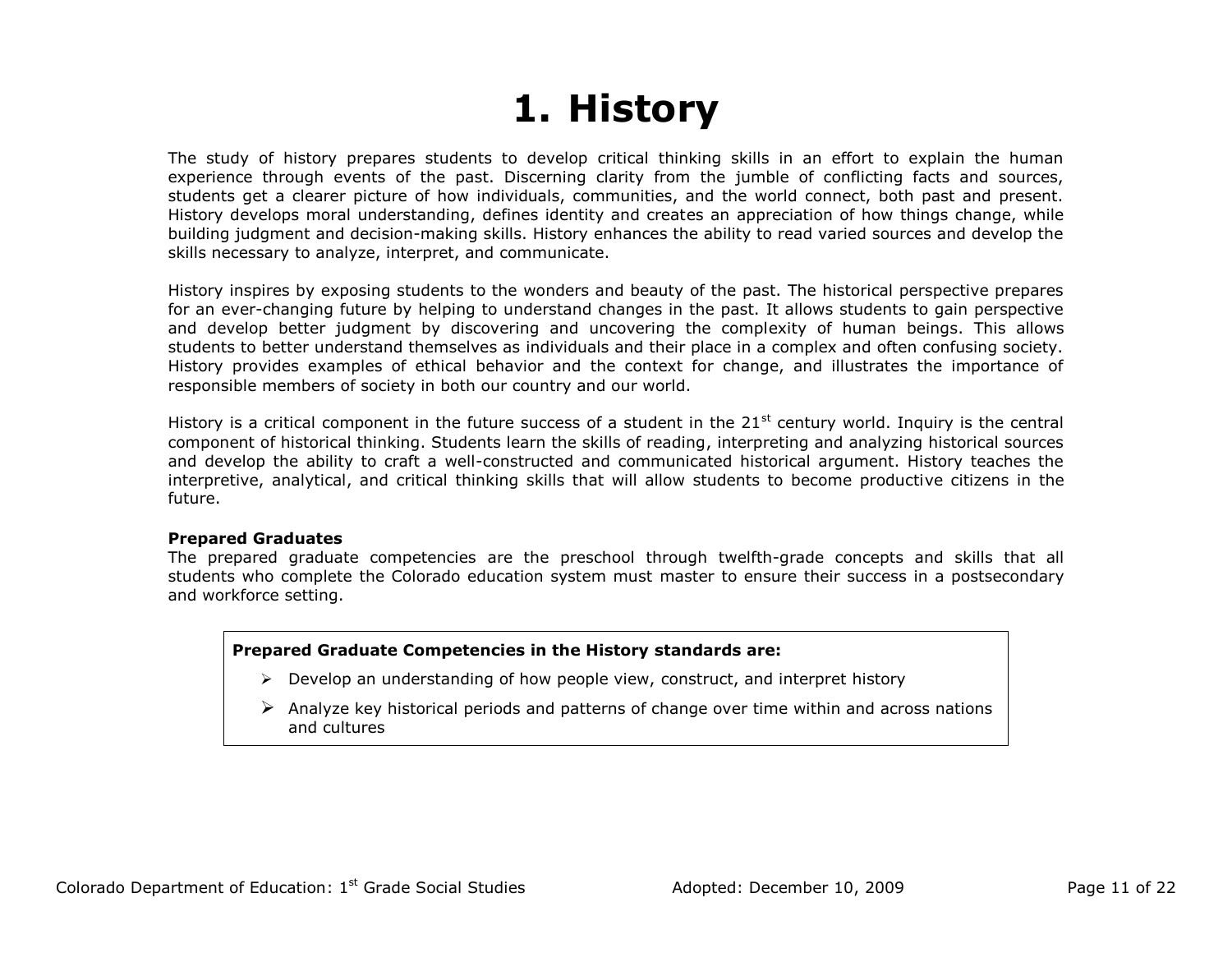# **1. History**

The study of history prepares students to develop critical thinking skills in an effort to explain the human experience through events of the past. Discerning clarity from the jumble of conflicting facts and sources, students get a clearer picture of how individuals, communities, and the world connect, both past and present. History develops moral understanding, defines identity and creates an appreciation of how things change, while building judgment and decision-making skills. History enhances the ability to read varied sources and develop the skills necessary to analyze, interpret, and communicate.

History inspires by exposing students to the wonders and beauty of the past. The historical perspective prepares for an ever-changing future by helping to understand changes in the past. It allows students to gain perspective and develop better judgment by discovering and uncovering the complexity of human beings. This allows students to better understand themselves as individuals and their place in a complex and often confusing society. History provides examples of ethical behavior and the context for change, and illustrates the importance of responsible members of society in both our country and our world.

History is a critical component in the future success of a student in the  $21^{st}$  century world. Inquiry is the central component of historical thinking. Students learn the skills of reading, interpreting and analyzing historical sources and develop the ability to craft a well-constructed and communicated historical argument. History teaches the interpretive, analytical, and critical thinking skills that will allow students to become productive citizens in the future.

#### **Prepared Graduates**

The prepared graduate competencies are the preschool through twelfth-grade concepts and skills that all students who complete the Colorado education system must master to ensure their success in a postsecondary and workforce setting.

#### **Prepared Graduate Competencies in the History standards are:**

- $\triangleright$  Develop an understanding of how people view, construct, and interpret history
- $\triangleright$  Analyze key historical periods and patterns of change over time within and across nations and cultures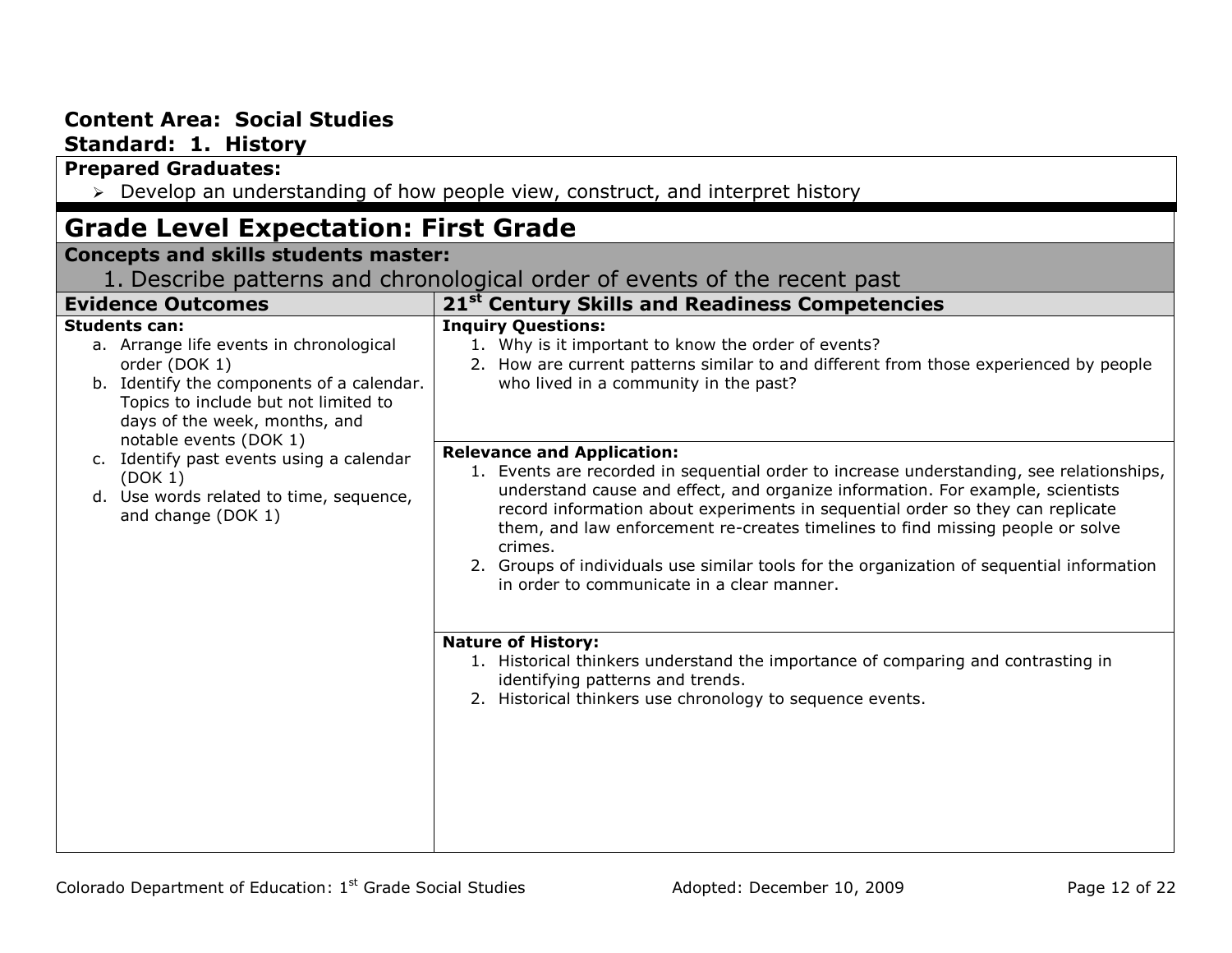#### **Standard: 1. History**

#### **Prepared Graduates:**

> Develop an understanding of how people view, construct, and interpret history

# **Grade Level Expectation: First Grade**

### **Concepts and skills students master:**

1. Describe patterns and chronological order of events of the recent past

| <b>Evidence Outcomes</b>                                                                                                                                                                                                                                                                                                                          | 21 <sup>st</sup> Century Skills and Readiness Competencies                                                                                                                                                                                                                                                                                                                                                                                                                                                                                |
|---------------------------------------------------------------------------------------------------------------------------------------------------------------------------------------------------------------------------------------------------------------------------------------------------------------------------------------------------|-------------------------------------------------------------------------------------------------------------------------------------------------------------------------------------------------------------------------------------------------------------------------------------------------------------------------------------------------------------------------------------------------------------------------------------------------------------------------------------------------------------------------------------------|
| Students can:<br>a. Arrange life events in chronological<br>order (DOK 1)<br>b. Identify the components of a calendar.<br>Topics to include but not limited to<br>days of the week, months, and<br>notable events (DOK 1)<br>c. Identify past events using a calendar<br>(DOK 1)<br>d. Use words related to time, sequence,<br>and change (DOK 1) | <b>Inquiry Questions:</b><br>1. Why is it important to know the order of events?<br>2. How are current patterns similar to and different from those experienced by people<br>who lived in a community in the past?                                                                                                                                                                                                                                                                                                                        |
|                                                                                                                                                                                                                                                                                                                                                   | <b>Relevance and Application:</b><br>1. Events are recorded in sequential order to increase understanding, see relationships,<br>understand cause and effect, and organize information. For example, scientists<br>record information about experiments in sequential order so they can replicate<br>them, and law enforcement re-creates timelines to find missing people or solve<br>crimes.<br>2. Groups of individuals use similar tools for the organization of sequential information<br>in order to communicate in a clear manner. |
|                                                                                                                                                                                                                                                                                                                                                   | <b>Nature of History:</b><br>1. Historical thinkers understand the importance of comparing and contrasting in<br>identifying patterns and trends.<br>2. Historical thinkers use chronology to sequence events.                                                                                                                                                                                                                                                                                                                            |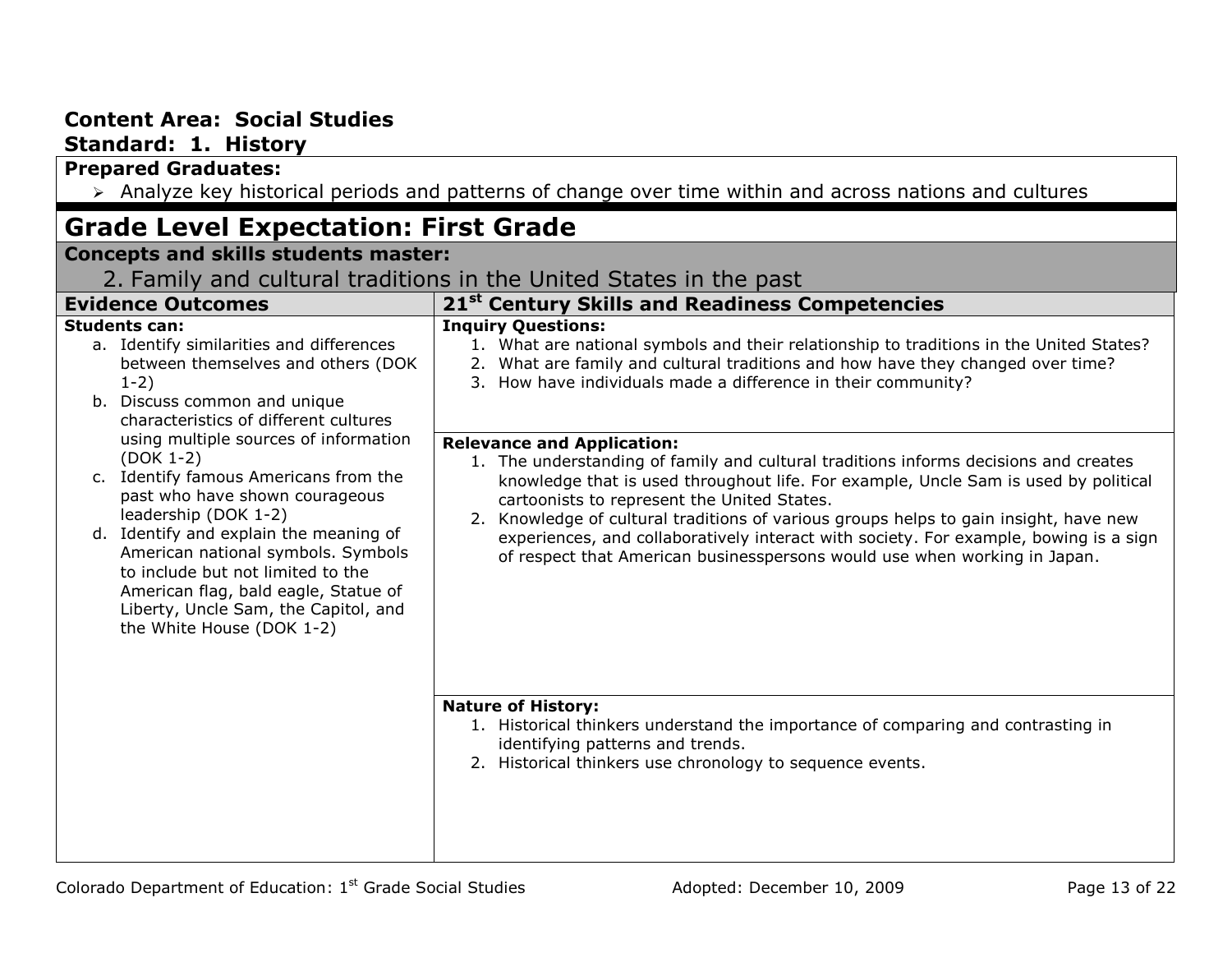#### **Standard: 1. History**

#### **Prepared Graduates:**

Analyze key historical periods and patterns of change over time within and across nations and cultures

# **Grade Level Expectation: First Grade**

#### **Concepts and skills students master:**

2. Family and cultural traditions in the United States in the past

| <b>Evidence Outcomes</b>                                                                                                                                                                                                                                                                                                                                                                               | 21 <sup>st</sup> Century Skills and Readiness Competencies                                                                                                                                                                                                                                                                                                                                                                                                                                                                        |
|--------------------------------------------------------------------------------------------------------------------------------------------------------------------------------------------------------------------------------------------------------------------------------------------------------------------------------------------------------------------------------------------------------|-----------------------------------------------------------------------------------------------------------------------------------------------------------------------------------------------------------------------------------------------------------------------------------------------------------------------------------------------------------------------------------------------------------------------------------------------------------------------------------------------------------------------------------|
| <b>Students can:</b><br>a. Identify similarities and differences<br>between themselves and others (DOK<br>$1-2)$<br>b. Discuss common and unique<br>characteristics of different cultures                                                                                                                                                                                                              | <b>Inquiry Questions:</b><br>1. What are national symbols and their relationship to traditions in the United States?<br>2. What are family and cultural traditions and how have they changed over time?<br>3. How have individuals made a difference in their community?                                                                                                                                                                                                                                                          |
| using multiple sources of information<br>(DOK 1-2)<br>Identify famous Americans from the<br>$\mathsf{C}$ .<br>past who have shown courageous<br>leadership (DOK 1-2)<br>d. Identify and explain the meaning of<br>American national symbols. Symbols<br>to include but not limited to the<br>American flag, bald eagle, Statue of<br>Liberty, Uncle Sam, the Capitol, and<br>the White House (DOK 1-2) | <b>Relevance and Application:</b><br>1. The understanding of family and cultural traditions informs decisions and creates<br>knowledge that is used throughout life. For example, Uncle Sam is used by political<br>cartoonists to represent the United States.<br>Knowledge of cultural traditions of various groups helps to gain insight, have new<br>2.<br>experiences, and collaboratively interact with society. For example, bowing is a sign<br>of respect that American businesspersons would use when working in Japan. |
|                                                                                                                                                                                                                                                                                                                                                                                                        | <b>Nature of History:</b><br>1. Historical thinkers understand the importance of comparing and contrasting in<br>identifying patterns and trends.<br>2. Historical thinkers use chronology to sequence events.                                                                                                                                                                                                                                                                                                                    |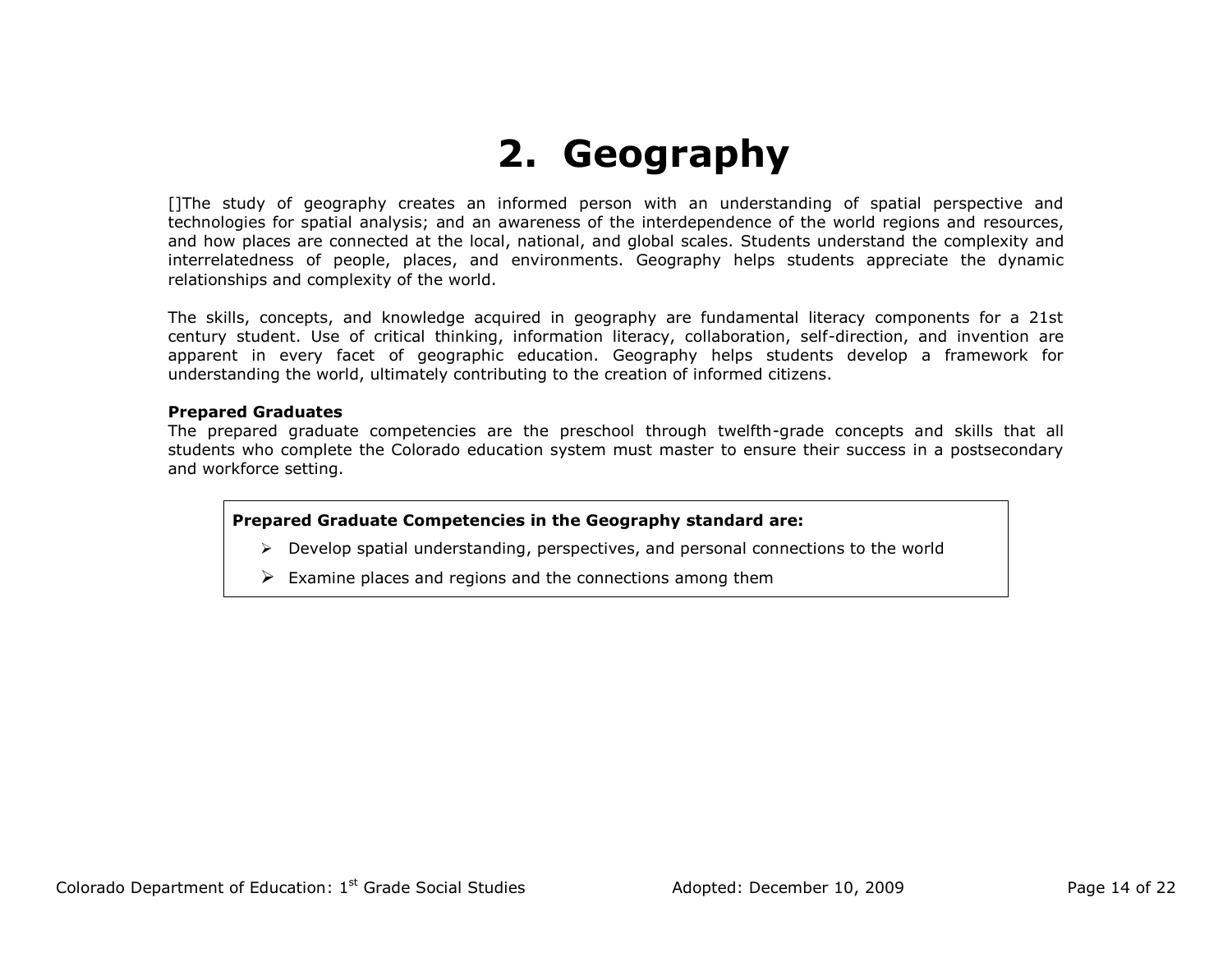# **2. Geography**

[]The study of geography creates an informed person with an understanding of spatial perspective and technologies for spatial analysis; and an awareness of the interdependence of the world regions and resources, and how places are connected at the local, national, and global scales. Students understand the complexity and interrelatedness of people, places, and environments. Geography helps students appreciate the dynamic relationships and complexity of the world.

The skills, concepts, and knowledge acquired in geography are fundamental literacy components for a 21st century student. Use of critical thinking, information literacy, collaboration, self-direction, and invention are apparent in every facet of geographic education. Geography helps students develop a framework for understanding the world, ultimately contributing to the creation of informed citizens.

#### **Prepared Graduates**

The prepared graduate competencies are the preschool through twelfth-grade concepts and skills that all students who complete the Colorado education system must master to ensure their success in a postsecondary and workforce setting.

#### **Prepared Graduate Competencies in the Geography standard are:**

- $\triangleright$  Develop spatial understanding, perspectives, and personal connections to the world
- $\triangleright$  Examine places and regions and the connections among them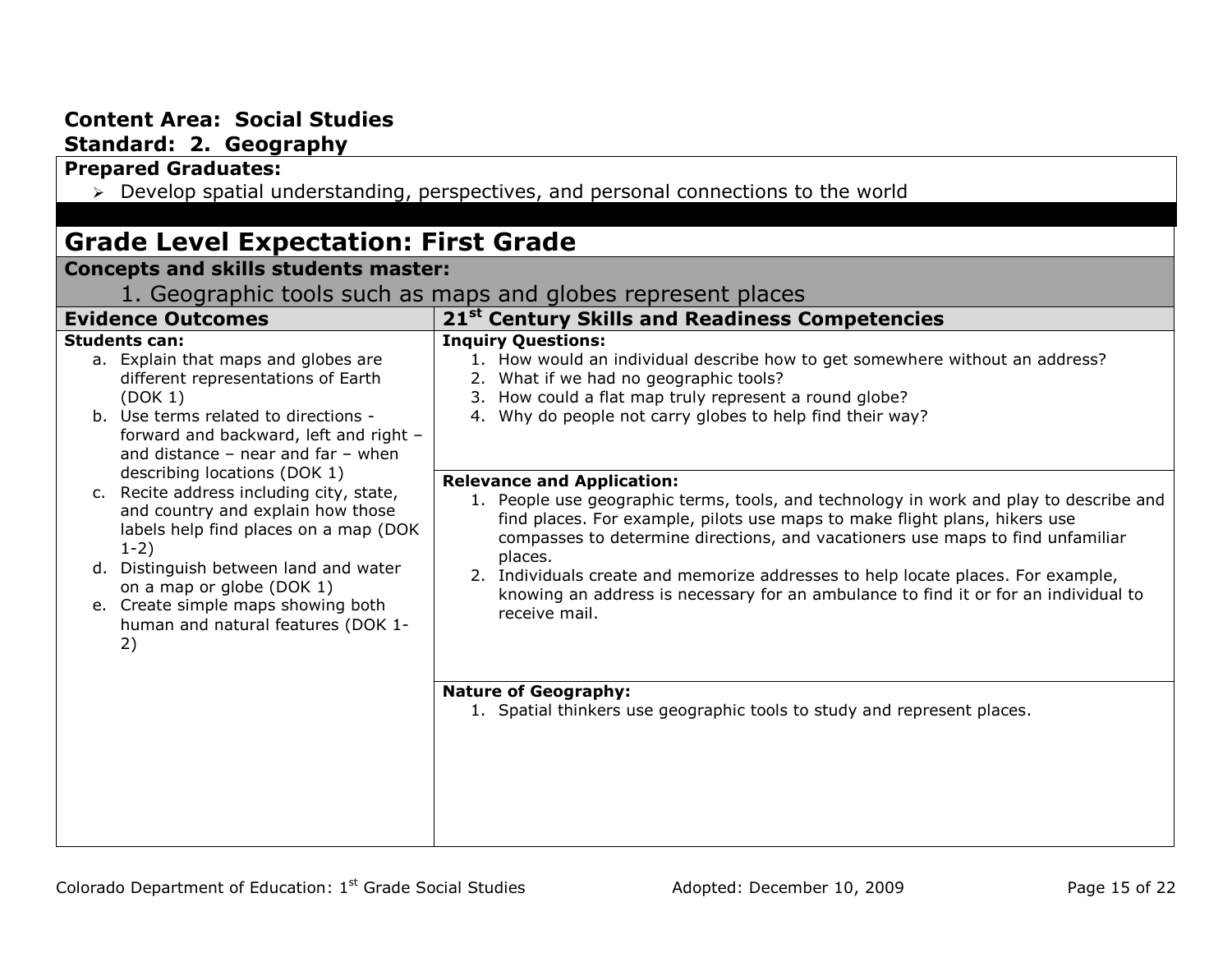#### **Standard: 2. Geography**

#### **Prepared Graduates:**

Develop spatial understanding, perspectives, and personal connections to the world

## **Grade Level Expectation: First Grade**

#### **Concepts and skills students master:**

1. Geographic tools such as maps and globes represent places

#### **Evidence Outcomes 21st Century Skills and Readiness Competencies Students can:** a. Explain that maps and globes are different representations of Earth (DOK 1) b. Use terms related to directions forward and backward, left and right – and distance – near and far – when describing locations (DOK 1) c. Recite address including city, state, and country and explain how those labels help find places on a map (DOK 1-2) d. Distinguish between land and water on a map or globe (DOK 1) e. Create simple maps showing both human and natural features (DOK 1- 2) **Inquiry Questions:** 1. How would an individual describe how to get somewhere without an address? 2. What if we had no geographic tools? 3. How could a flat map truly represent a round globe? 4. Why do people not carry globes to help find their way? **Relevance and Application:** 1. People use geographic terms, tools, and technology in work and play to describe and find places. For example, pilots use maps to make flight plans, hikers use compasses to determine directions, and vacationers use maps to find unfamiliar places. 2. Individuals create and memorize addresses to help locate places. For example, knowing an address is necessary for an ambulance to find it or for an individual to receive mail. **Nature of Geography:** 1. Spatial thinkers use geographic tools to study and represent places.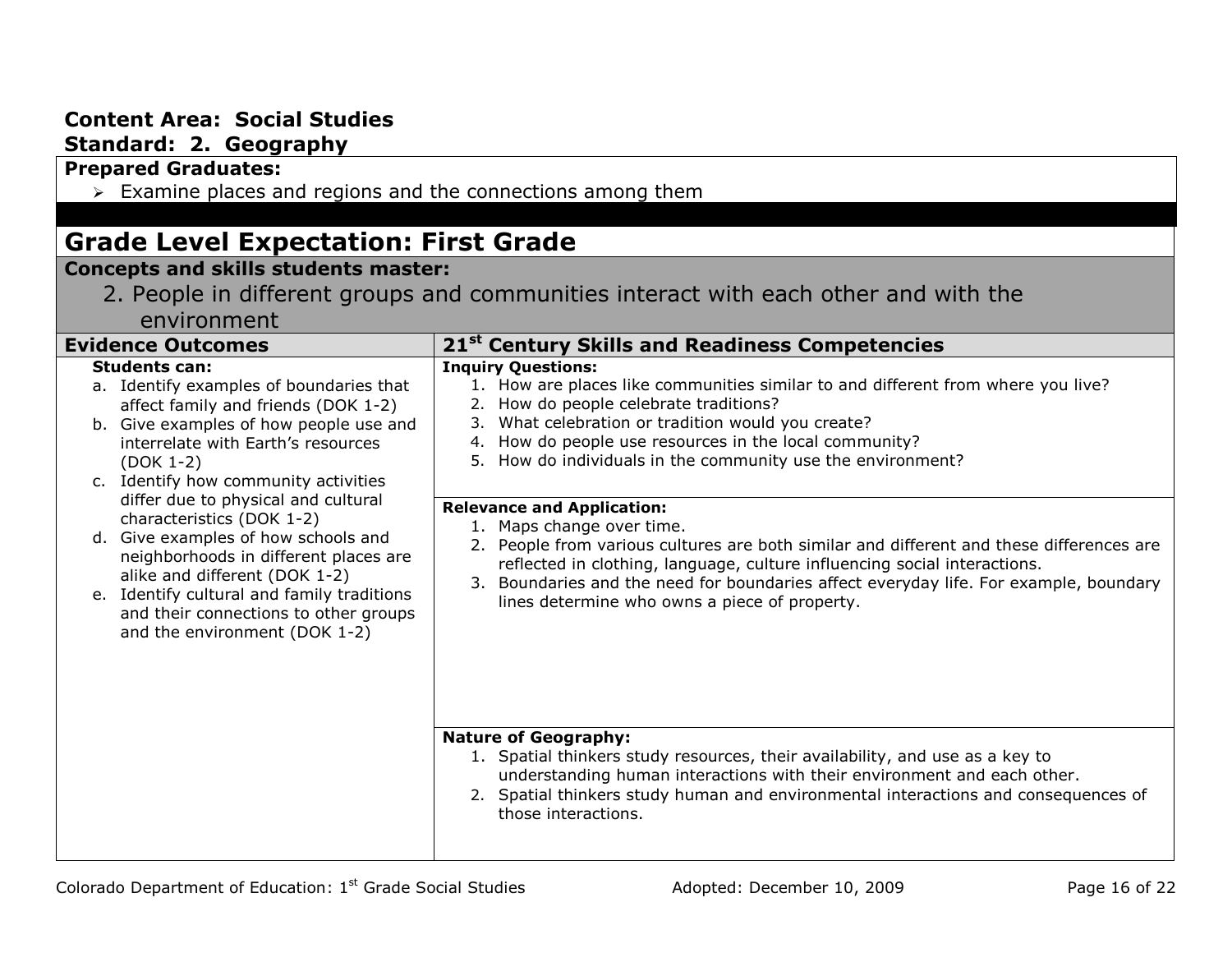#### **Standard: 2. Geography**

#### **Prepared Graduates:**

 $\triangleright$  Examine places and regions and the connections among them

# **Grade Level Expectation: First Grade**

#### **Concepts and skills students master:**

2. People in different groups and communities interact with each other and with the environment

#### **Evidence Outcomes 21st Century Skills and Readiness Competencies**

#### **Students can:** a. Identify examples of boundaries that affect family and friends (DOK 1-2) b. Give examples of how people use and interrelate with Earth's resources (DOK 1-2) c. Identify how community activities differ due to physical and cultural characteristics (DOK 1-2) d. Give examples of how schools and neighborhoods in different places are alike and different (DOK 1-2) e. Identify cultural and family traditions and their connections to other groups and the environment (DOK 1-2) **Inquiry Questions:** 1. How are places like communities similar to and different from where you live? 2. How do people celebrate traditions? 3. What celebration or tradition would you create? 4. How do people use resources in the local community? 5. How do individuals in the community use the environment? **Relevance and Application:** 1. Maps change over time. 2. People from various cultures are both similar and different and these differences are reflected in clothing, language, culture influencing social interactions. 3. Boundaries and the need for boundaries affect everyday life. For example, boundary lines determine who owns a piece of property. **Nature of Geography:** 1. Spatial thinkers study resources, their availability, and use as a key to understanding human interactions with their environment and each other. 2. Spatial thinkers study human and environmental interactions and consequences of those interactions.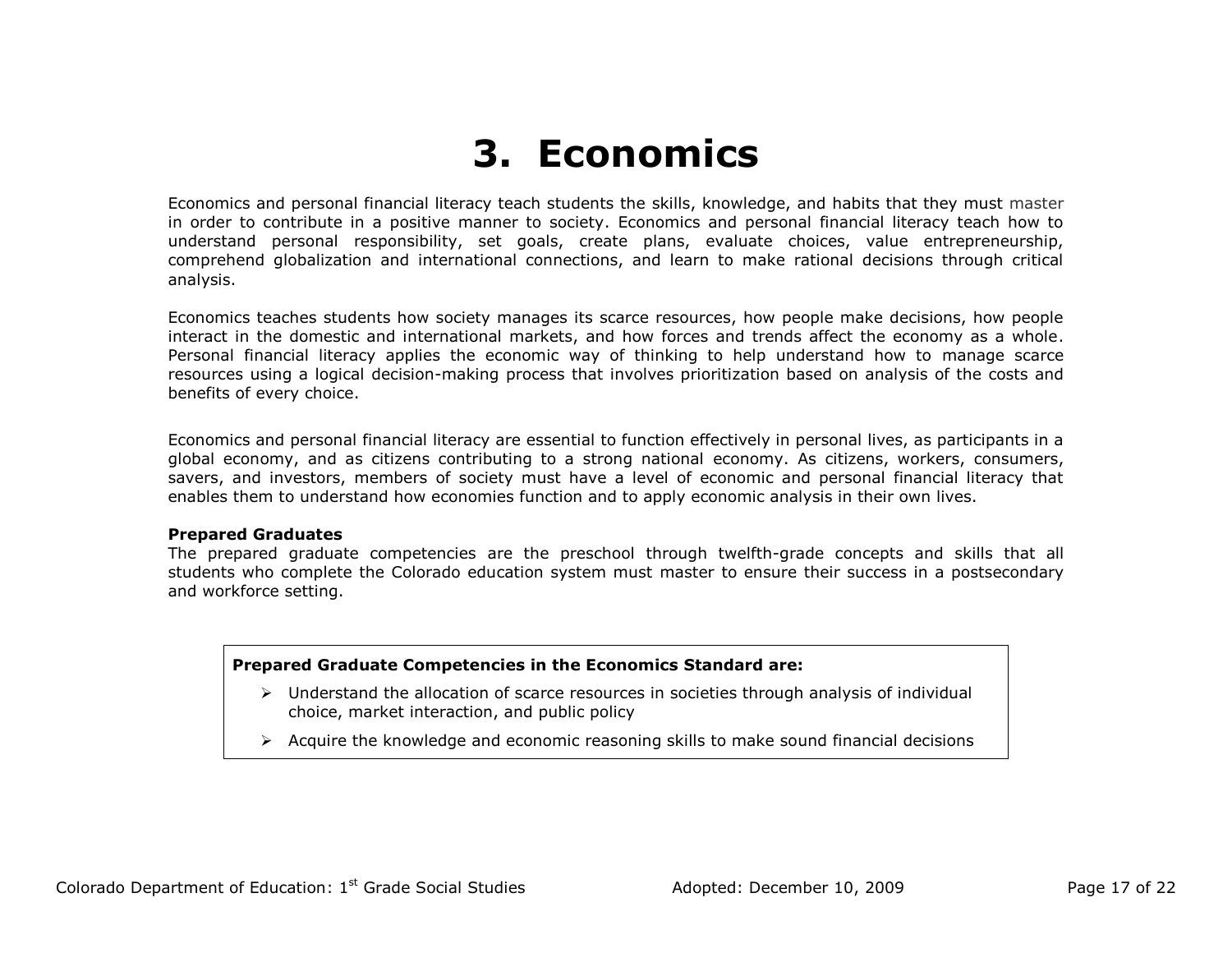# **3. Economics**

Economics and personal financial literacy teach students the skills, knowledge, and habits that they must master in order to contribute in a positive manner to society. Economics and personal financial literacy teach how to understand personal responsibility, set goals, create plans, evaluate choices, value entrepreneurship, comprehend globalization and international connections, and learn to make rational decisions through critical analysis.

Economics teaches students how society manages its scarce resources, how people make decisions, how people interact in the domestic and international markets, and how forces and trends affect the economy as a whole. Personal financial literacy applies the economic way of thinking to help understand how to manage scarce resources using a logical decision-making process that involves prioritization based on analysis of the costs and benefits of every choice.

Economics and personal financial literacy are essential to function effectively in personal lives, as participants in a global economy, and as citizens contributing to a strong national economy. As citizens, workers, consumers, savers, and investors, members of society must have a level of economic and personal financial literacy that enables them to understand how economies function and to apply economic analysis in their own lives.

#### **Prepared Graduates**

The prepared graduate competencies are the preschool through twelfth-grade concepts and skills that all students who complete the Colorado education system must master to ensure their success in a postsecondary and workforce setting.

#### **Prepared Graduate Competencies in the Economics Standard are:**

- $\triangleright$  Understand the allocation of scarce resources in societies through analysis of individual choice, market interaction, and public policy
- $\triangleright$  Acquire the knowledge and economic reasoning skills to make sound financial decisions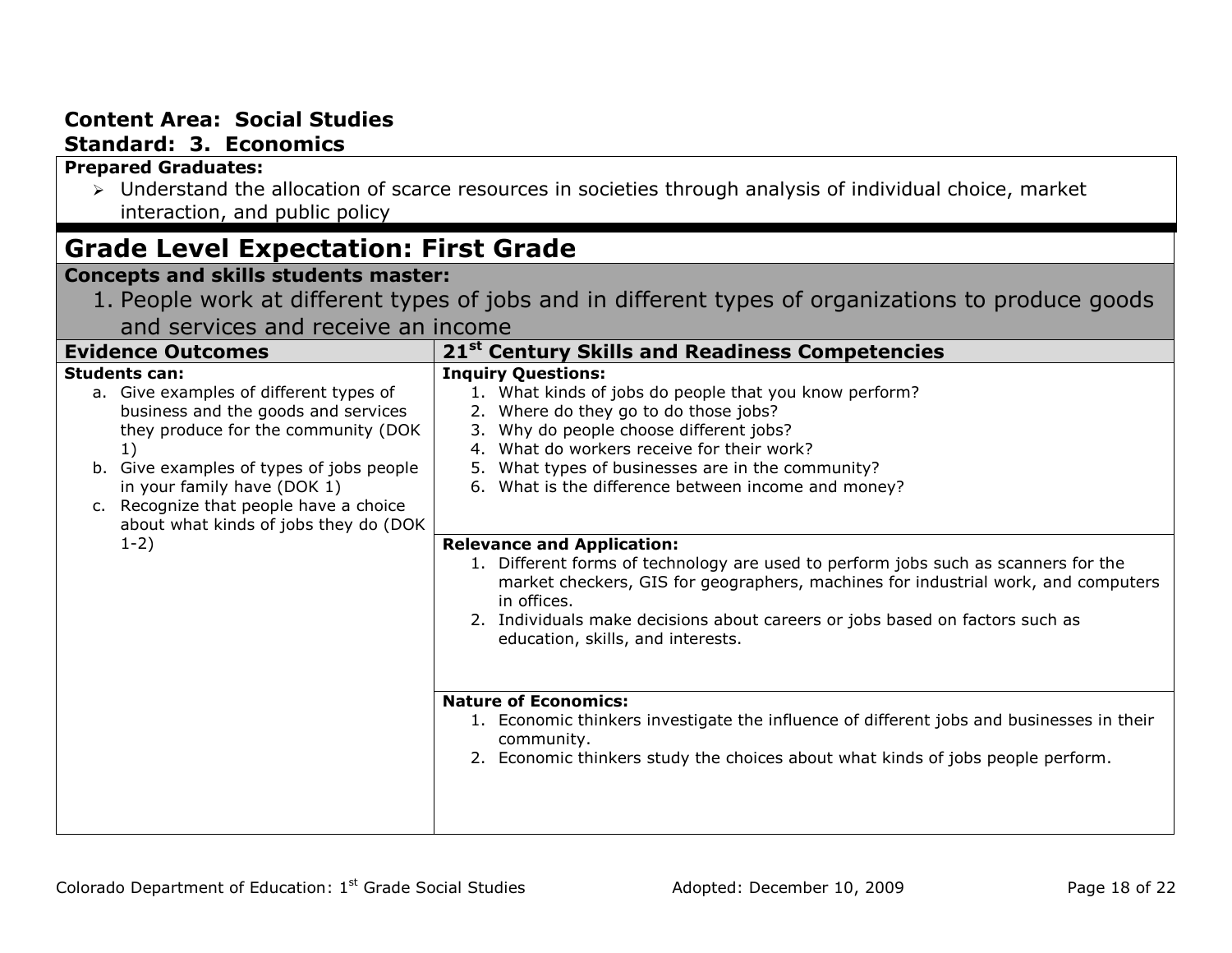#### **Standard: 3. Economics**

#### **Prepared Graduates:**

 Understand the allocation of scarce resources in societies through analysis of individual choice, market interaction, and public policy

# **Grade Level Expectation: First Grade**

#### **Concepts and skills students master:**

1. People work at different types of jobs and in different types of organizations to produce goods and services and receive an income

|                                                                                                                                                                                                                                                                                                                     | <b>Evidence Outcomes</b> | 21 <sup>st</sup> Century Skills and Readiness Competencies                                                                                                                                                                                                                                                                                       |
|---------------------------------------------------------------------------------------------------------------------------------------------------------------------------------------------------------------------------------------------------------------------------------------------------------------------|--------------------------|--------------------------------------------------------------------------------------------------------------------------------------------------------------------------------------------------------------------------------------------------------------------------------------------------------------------------------------------------|
| <b>Students can:</b><br>a. Give examples of different types of<br>business and the goods and services<br>they produce for the community (DOK<br>1)<br>Give examples of types of jobs people<br>b.<br>in your family have (DOK 1)<br>c. Recognize that people have a choice<br>about what kinds of jobs they do (DOK |                          | <b>Inquiry Questions:</b><br>1. What kinds of jobs do people that you know perform?<br>2. Where do they go to do those jobs?<br>3. Why do people choose different jobs?<br>4. What do workers receive for their work?<br>What types of businesses are in the community?<br>6. What is the difference between income and money?                   |
|                                                                                                                                                                                                                                                                                                                     | $1-2)$                   | <b>Relevance and Application:</b><br>1. Different forms of technology are used to perform jobs such as scanners for the<br>market checkers, GIS for geographers, machines for industrial work, and computers<br>in offices.<br>2. Individuals make decisions about careers or jobs based on factors such as<br>education, skills, and interests. |
|                                                                                                                                                                                                                                                                                                                     |                          | <b>Nature of Economics:</b><br>1. Economic thinkers investigate the influence of different jobs and businesses in their<br>community.<br>2. Economic thinkers study the choices about what kinds of jobs people perform.                                                                                                                         |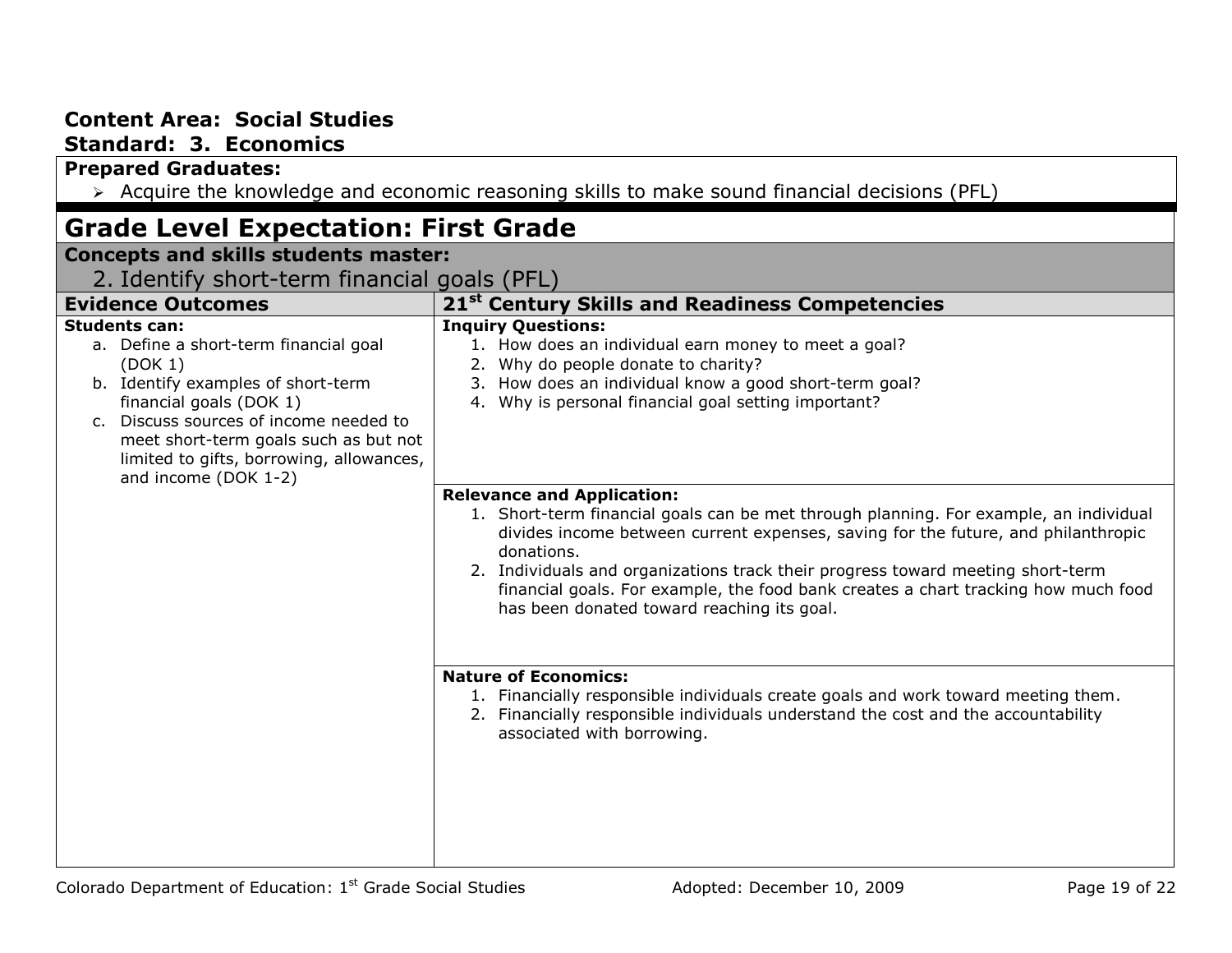#### **Standard: 3. Economics**

#### **Prepared Graduates:**

Acquire the knowledge and economic reasoning skills to make sound financial decisions (PFL)

# **Grade Level Expectation: First Grade**

#### **Concepts and skills students master:**

2. Identify short-term financial goals (PFL)

|                                                                                                                                                                                                                                                                                                                 | $9 - 1 - 1 - 1$                                                                                                                                                                                                                                                                                                                                                                                                                                      |
|-----------------------------------------------------------------------------------------------------------------------------------------------------------------------------------------------------------------------------------------------------------------------------------------------------------------|------------------------------------------------------------------------------------------------------------------------------------------------------------------------------------------------------------------------------------------------------------------------------------------------------------------------------------------------------------------------------------------------------------------------------------------------------|
| <b>Evidence Outcomes</b>                                                                                                                                                                                                                                                                                        | 21 <sup>st</sup> Century Skills and Readiness Competencies                                                                                                                                                                                                                                                                                                                                                                                           |
| <b>Students can:</b><br>a. Define a short-term financial goal<br>(DOK 1)<br>b. Identify examples of short-term<br>financial goals (DOK 1)<br>Discuss sources of income needed to<br>$\mathsf{C}$ .<br>meet short-term goals such as but not<br>limited to gifts, borrowing, allowances,<br>and income (DOK 1-2) | <b>Inquiry Questions:</b><br>1. How does an individual earn money to meet a goal?<br>2. Why do people donate to charity?<br>3. How does an individual know a good short-term goal?<br>4. Why is personal financial goal setting important?                                                                                                                                                                                                           |
|                                                                                                                                                                                                                                                                                                                 | <b>Relevance and Application:</b><br>1. Short-term financial goals can be met through planning. For example, an individual<br>divides income between current expenses, saving for the future, and philanthropic<br>donations.<br>2. Individuals and organizations track their progress toward meeting short-term<br>financial goals. For example, the food bank creates a chart tracking how much food<br>has been donated toward reaching its goal. |
|                                                                                                                                                                                                                                                                                                                 | <b>Nature of Economics:</b><br>1. Financially responsible individuals create goals and work toward meeting them.<br>2. Financially responsible individuals understand the cost and the accountability<br>associated with borrowing.                                                                                                                                                                                                                  |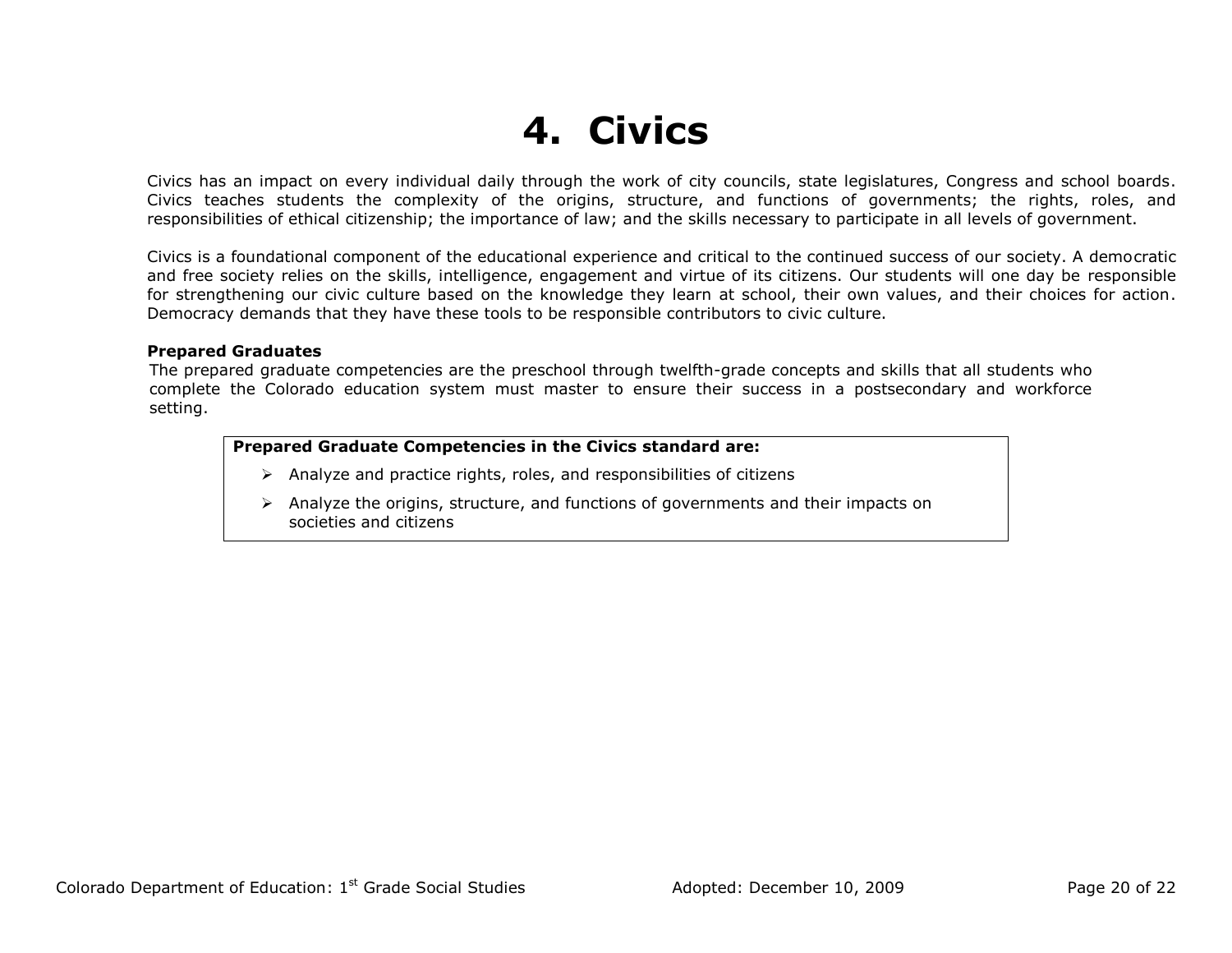# **4. Civics**

Civics has an impact on every individual daily through the work of city councils, state legislatures, Congress and school boards. Civics teaches students the complexity of the origins, structure, and functions of governments; the rights, roles, and responsibilities of ethical citizenship; the importance of law; and the skills necessary to participate in all levels of government.

Civics is a foundational component of the educational experience and critical to the continued success of our society. A democratic and free society relies on the skills, intelligence, engagement and virtue of its citizens. Our students will one day be responsible for strengthening our civic culture based on the knowledge they learn at school, their own values, and their choices for action. Democracy demands that they have these tools to be responsible contributors to civic culture.

#### **Prepared Graduates**

The prepared graduate competencies are the preschool through twelfth-grade concepts and skills that all students who complete the Colorado education system must master to ensure their success in a postsecondary and workforce setting.

#### **Prepared Graduate Competencies in the Civics standard are:**

- $\triangleright$  Analyze and practice rights, roles, and responsibilities of citizens
- $\triangleright$  Analyze the origins, structure, and functions of governments and their impacts on societies and citizens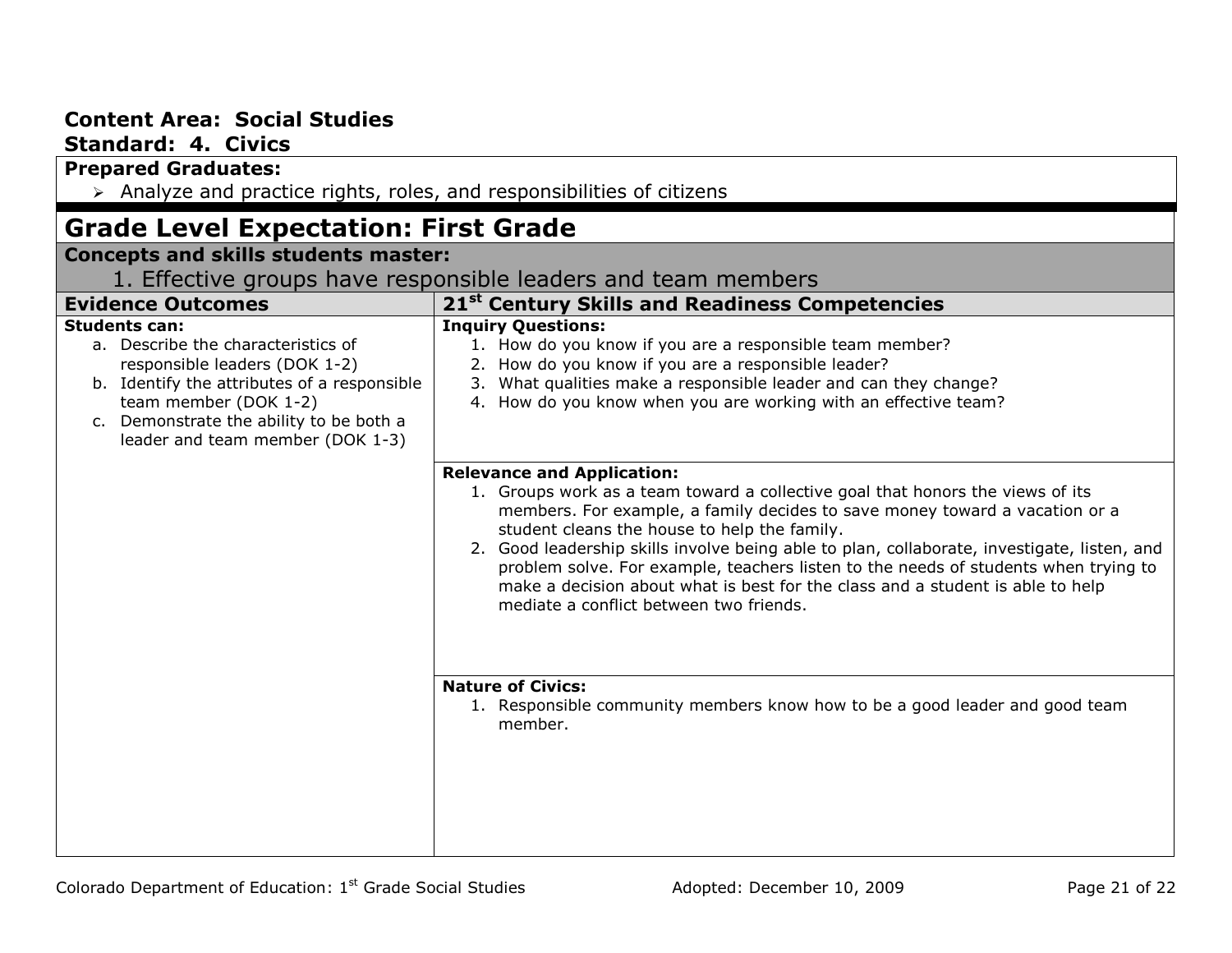#### **Standard: 4. Civics**

#### **Prepared Graduates:**

 $\triangleright$  Analyze and practice rights, roles, and responsibilities of citizens

# **Grade Level Expectation: First Grade**

#### **Concepts and skills students master:**

1. Effective groups have responsible leaders and team members

|                                                                                                                                                                                                                                                    | Li Lifettive groups nuve responsible icaders and team members                                                                                                                                                                                                                                                                                                                                                                                                                                                                                                         |
|----------------------------------------------------------------------------------------------------------------------------------------------------------------------------------------------------------------------------------------------------|-----------------------------------------------------------------------------------------------------------------------------------------------------------------------------------------------------------------------------------------------------------------------------------------------------------------------------------------------------------------------------------------------------------------------------------------------------------------------------------------------------------------------------------------------------------------------|
| <b>Evidence Outcomes</b>                                                                                                                                                                                                                           | 21 <sup>st</sup> Century Skills and Readiness Competencies                                                                                                                                                                                                                                                                                                                                                                                                                                                                                                            |
| <b>Students can:</b><br>a. Describe the characteristics of<br>responsible leaders (DOK 1-2)<br>b. Identify the attributes of a responsible<br>team member (DOK 1-2)<br>c. Demonstrate the ability to be both a<br>leader and team member (DOK 1-3) | <b>Inquiry Questions:</b><br>1. How do you know if you are a responsible team member?<br>2. How do you know if you are a responsible leader?<br>3. What qualities make a responsible leader and can they change?<br>4. How do you know when you are working with an effective team?                                                                                                                                                                                                                                                                                   |
|                                                                                                                                                                                                                                                    | <b>Relevance and Application:</b><br>1. Groups work as a team toward a collective goal that honors the views of its<br>members. For example, a family decides to save money toward a vacation or a<br>student cleans the house to help the family.<br>2. Good leadership skills involve being able to plan, collaborate, investigate, listen, and<br>problem solve. For example, teachers listen to the needs of students when trying to<br>make a decision about what is best for the class and a student is able to help<br>mediate a conflict between two friends. |
|                                                                                                                                                                                                                                                    | <b>Nature of Civics:</b><br>1. Responsible community members know how to be a good leader and good team<br>member.                                                                                                                                                                                                                                                                                                                                                                                                                                                    |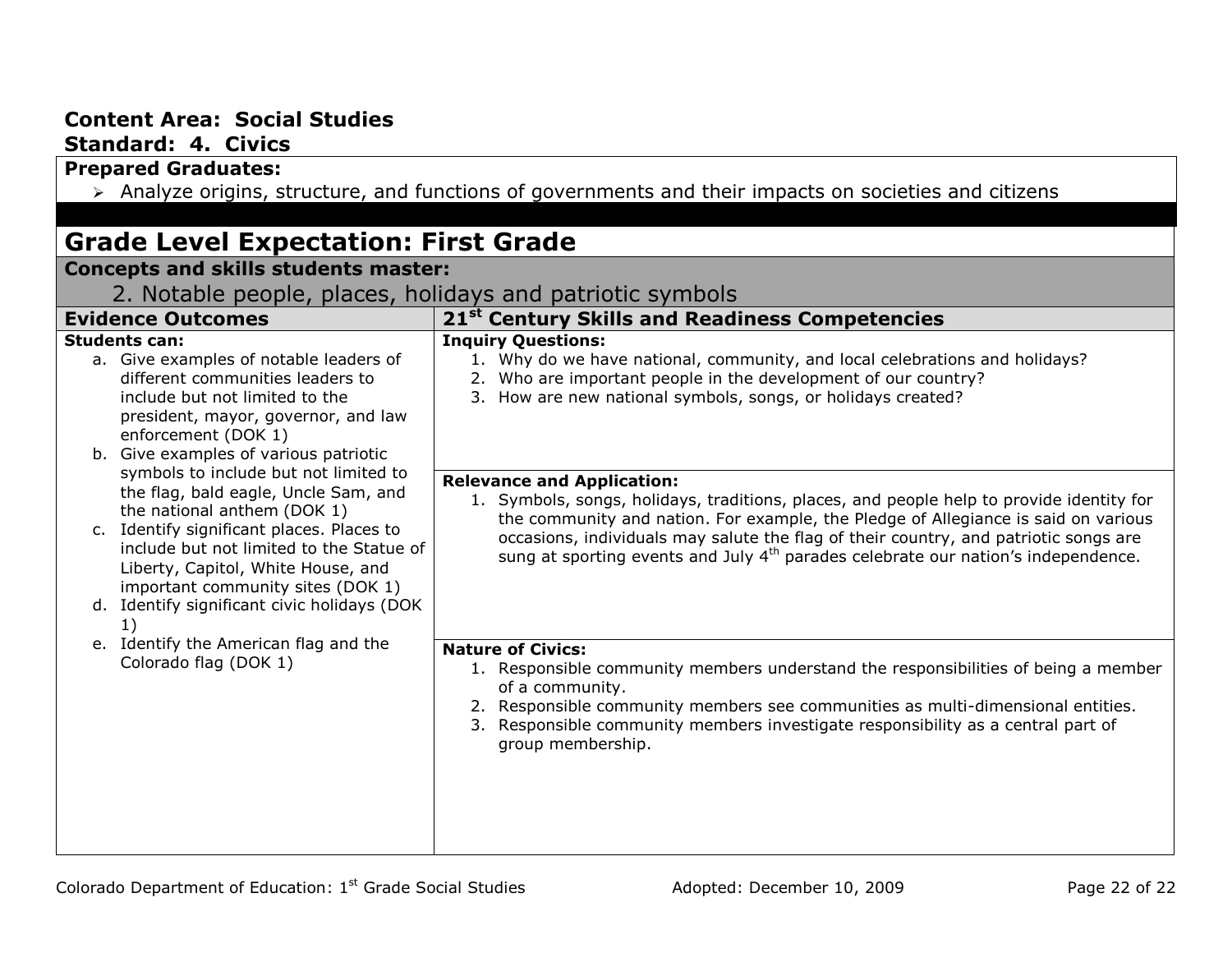#### **Standard: 4. Civics**

#### **Prepared Graduates:**

Analyze origins, structure, and functions of governments and their impacts on societies and citizens

#### **Grade Level Expectation: First Grade Concepts and skills students master:** 2. Notable people, places, holidays and patriotic symbols **Evidence Outcomes 21st Century Skills and Readiness Competencies Students can:** a. Give examples of notable leaders of different communities leaders to include but not limited to the president, mayor, governor, and law enforcement (DOK 1) b. Give examples of various patriotic symbols to include but not limited to the flag, bald eagle, Uncle Sam, and the national anthem (DOK 1) c. Identify significant places. Places to include but not limited to the Statue of Liberty, Capitol, White House, and important community sites (DOK 1) d. Identify significant civic holidays (DOK 1) e. Identify the American flag and the Colorado flag (DOK 1) **Inquiry Questions:** 1. Why do we have national, community, and local celebrations and holidays? 2. Who are important people in the development of our country? 3. How are new national symbols, songs, or holidays created? **Relevance and Application:** 1. Symbols, songs, holidays, traditions, places, and people help to provide identity for the community and nation. For example, the Pledge of Allegiance is said on various occasions, individuals may salute the flag of their country, and patriotic songs are sung at sporting events and July 4<sup>th</sup> parades celebrate our nation's independence. **Nature of Civics:** 1. Responsible community members understand the responsibilities of being a member of a community. 2. Responsible community members see communities as multi-dimensional entities. 3. Responsible community members investigate responsibility as a central part of group membership.